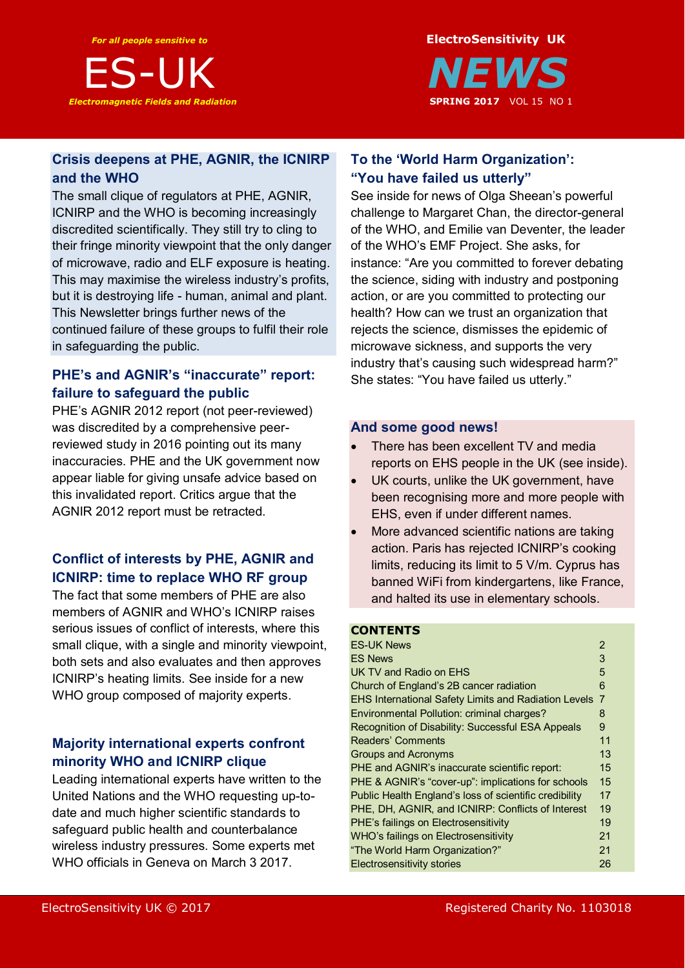



## **Crisis deepens at PHE, AGNIR, the ICNIRP and the WHO**

The small clique of regulators at PHE, AGNIR, ICNIRP and the WHO is becoming increasingly discredited scientifically. They still try to cling to their fringe minority viewpoint that the only danger of microwave, radio and ELF exposure is heating. This may maximise the wireless industry's profits, but it is destroying life - human, animal and plant. This Newsletter brings further news of the continued failure of these groups to fulfil their role in safeguarding the public.

## **PHE's and AGNIR's "inaccurate" report: failure to safeguard the public**

PHE's AGNIR 2012 report (not peer-reviewed) was discredited by a comprehensive peerreviewed study in 2016 pointing out its many inaccuracies. PHE and the UK government now appear liable for giving unsafe advice based on this invalidated report. Critics argue that the AGNIR 2012 report must be retracted.

## **Conflict of interests by PHE, AGNIR and ICNIRP: time to replace WHO RF group**

The fact that some members of PHE are also members of AGNIR and WHO's ICNIRP raises serious issues of conflict of interests, where this small clique, with a single and minority viewpoint, both sets and also evaluates and then approves ICNIRP's heating limits. See inside for a new WHO group composed of majority experts.

## **Majority international experts confront minority WHO and ICNIRP clique**

Leading international experts have written to the United Nations and the WHO requesting up-todate and much higher scientific standards to safeguard public health and counterbalance wireless industry pressures. Some experts met WHO officials in Geneva on March 3 2017.

## **To the 'World Harm Organization': "You have failed us utterly"**

See inside for news of Olga Sheean's powerful challenge to Margaret Chan, the director-general of the WHO, and Emilie van Deventer, the leader of the WHO's EMF Project. She asks, for instance: "Are you committed to forever debating the science, siding with industry and postponing action, or are you committed to protecting our health? How can we trust an organization that rejects the science, dismisses the epidemic of microwave sickness, and supports the very industry that's causing such widespread harm?" She states: "You have failed us utterly."

## **And some good news!**

- There has been excellent TV and media reports on EHS people in the UK (see inside).
- UK courts, unlike the UK government, have been recognising more and more people with EHS, even if under different names.
- More advanced scientific nations are taking action. Paris has rejected ICNIRP's cooking limits, reducing its limit to 5 V/m. Cyprus has banned WiFi from kindergartens, like France, and halted its use in elementary schools.

## **CONTENTS**

| <b>ES-UK News</b>                                           | $\overline{2}$ |
|-------------------------------------------------------------|----------------|
| <b>ES News</b>                                              | 3              |
| UK TV and Radio on EHS                                      | 5              |
| Church of England's 2B cancer radiation                     | 6              |
| <b>EHS International Safety Limits and Radiation Levels</b> | $\overline{7}$ |
| Environmental Pollution: criminal charges?                  | 8              |
| Recognition of Disability: Successful ESA Appeals           | 9              |
| Readers' Comments                                           | 11             |
| <b>Groups and Acronyms</b>                                  | 13             |
| PHE and AGNIR's inaccurate scientific report:               | 15             |
| PHE & AGNIR's "cover-up": implications for schools          | 15             |
| Public Health England's loss of scientific credibility      | 17             |
| PHE, DH, AGNIR, and ICNIRP: Conflicts of Interest           | 19             |
| PHE's failings on Electrosensitivity                        | 19             |
| WHO's failings on Electrosensitivity                        | 21             |
| "The World Harm Organization?"                              | 21             |
| <b>Electrosensitivity stories</b>                           | 26             |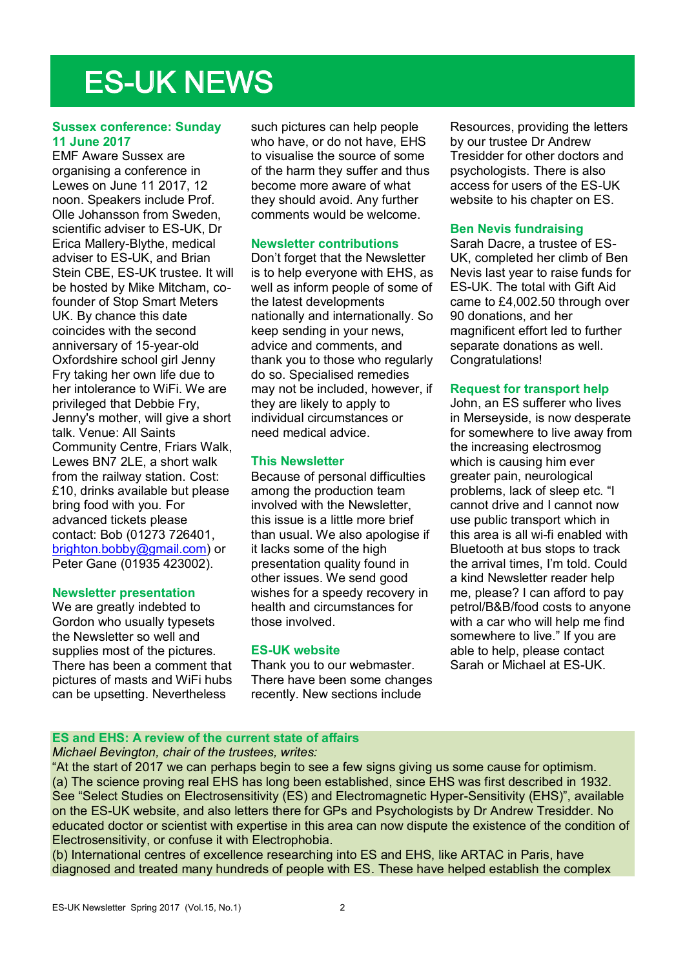# ES-UK NEWS

### **Sussex conference: Sunday 11 June 2017**

EMF Aware Sussex are organising a conference in Lewes on June 11 2017, 12 noon. Speakers include Prof. Olle Johansson from Sweden, scientific adviser to ES-UK, Dr Erica Mallery-Blythe, medical adviser to ES-UK, and Brian Stein CBE, ES-UK trustee. It will be hosted by Mike Mitcham, cofounder of Stop Smart Meters UK. By chance this date coincides with the second anniversary of 15-year-old Oxfordshire school girl Jenny Fry taking her own life due to her intolerance to WiFi. We are privileged that Debbie Fry, Jenny's mother, will give a short talk. Venue: All Saints Community Centre, Friars Walk, Lewes BN7 2LE, a short walk from the railway station. Cost: £10, drinks available but please bring food with you. For advanced tickets please contact: Bob (01273 726401, brighton.bobby@gmail.com) or Peter Gane (01935 423002).

#### **Newsletter presentation**

We are greatly indebted to Gordon who usually typesets the Newsletter so well and supplies most of the pictures. There has been a comment that pictures of masts and WiFi hubs can be upsetting. Nevertheless

such pictures can help people who have, or do not have, EHS to visualise the source of some of the harm they suffer and thus become more aware of what they should avoid. Any further comments would be welcome.

#### **Newsletter contributions**

Don't forget that the Newsletter is to help everyone with EHS, as well as inform people of some of the latest developments nationally and internationally. So keep sending in your news, advice and comments, and thank you to those who regularly do so. Specialised remedies may not be included, however, if they are likely to apply to individual circumstances or need medical advice.

#### **This Newsletter**

Because of personal difficulties among the production team involved with the Newsletter, this issue is a little more brief than usual. We also apologise if it lacks some of the high presentation quality found in other issues. We send good wishes for a speedy recovery in health and circumstances for those involved.

#### **ES-UK website**

Thank you to our webmaster. There have been some changes recently. New sections include

Resources, providing the letters by our trustee Dr Andrew Tresidder for other doctors and psychologists. There is also access for users of the ES-UK website to his chapter on ES.

#### **Ben Nevis fundraising**

Sarah Dacre, a trustee of ES-UK, completed her climb of Ben Nevis last year to raise funds for ES-UK. The total with Gift Aid came to £4,002.50 through over 90 donations, and her magnificent effort led to further separate donations as well. Congratulations!

#### **Request for transport help**

John, an ES sufferer who lives in Merseyside, is now desperate for somewhere to live away from the increasing electrosmog which is causing him ever greater pain, neurological problems, lack of sleep etc. "I cannot drive and I cannot now use public transport which in this area is all wi-fi enabled with Bluetooth at bus stops to track the arrival times, I'm told. Could a kind Newsletter reader help me, please? I can afford to pay petrol/B&B/food costs to anyone with a car who will help me find somewhere to live." If you are able to help, please contact Sarah or Michael at ES-UK.

## **ES and EHS: A review of the current state of affairs**

#### *Michael Bevington, chair of the trustees, writes:*

"At the start of 2017 we can perhaps begin to see a few signs giving us some cause for optimism. (a) The science proving real EHS has long been established, since EHS was first described in 1932. See "Select Studies on Electrosensitivity (ES) and Electromagnetic Hyper-Sensitivity (EHS)", available on the ES-UK website, and also letters there for GPs and Psychologists by Dr Andrew Tresidder. No educated doctor or scientist with expertise in this area can now dispute the existence of the condition of Electrosensitivity, or confuse it with Electrophobia.

(b) International centres of excellence researching into ES and EHS, like ARTAC in Paris, have diagnosed and treated many hundreds of people with ES. These have helped establish the complex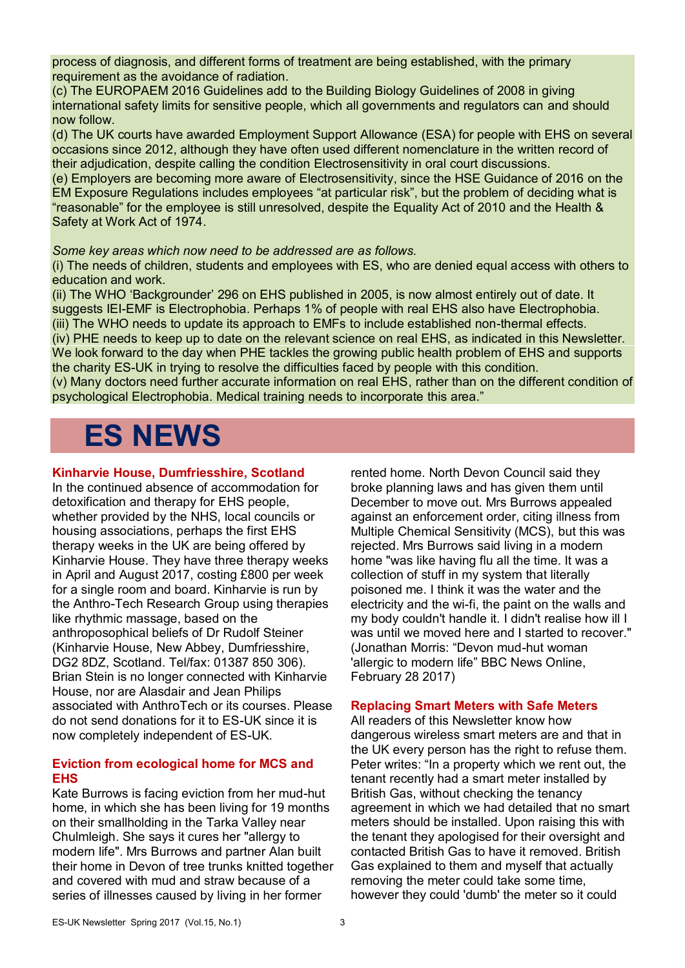process of diagnosis, and different forms of treatment are being established, with the primary requirement as the avoidance of radiation.

(c) The EUROPAEM 2016 Guidelines add to the Building Biology Guidelines of 2008 in giving international safety limits for sensitive people, which all governments and regulators can and should now follow.

(d) The UK courts have awarded Employment Support Allowance (ESA) for people with EHS on several occasions since 2012, although they have often used different nomenclature in the written record of their adjudication, despite calling the condition Electrosensitivity in oral court discussions.

(e) Employers are becoming more aware of Electrosensitivity, since the HSE Guidance of 2016 on the EM Exposure Regulations includes employees "at particular risk", but the problem of deciding what is "reasonable" for the employee is still unresolved, despite the Equality Act of 2010 and the Health & Safety at Work Act of 1974.

#### *Some key areas which now need to be addressed are as follows.*

(i) The needs of children, students and employees with ES, who are denied equal access with others to education and work.

(ii) The WHO 'Backgrounder' 296 on EHS published in 2005, is now almost entirely out of date. It suggests IEI-EMF is Electrophobia. Perhaps 1% of people with real EHS also have Electrophobia. (iii) The WHO needs to update its approach to EMFs to include established non-thermal effects.

(iv) PHE needs to keep up to date on the relevant science on real EHS, as indicated in this Newsletter. We look forward to the day when PHE tackles the growing public health problem of EHS and supports the charity ES-UK in trying to resolve the difficulties faced by people with this condition.

(v) Many doctors need further accurate information on real EHS, rather than on the different condition of psychological Electrophobia. Medical training needs to incorporate this area."

# **ES NEWS**

## **Kinharvie House, Dumfriesshire, Scotland**

In the continued absence of accommodation for detoxification and therapy for EHS people, whether provided by the NHS, local councils or housing associations, perhaps the first EHS therapy weeks in the UK are being offered by Kinharvie House. They have three therapy weeks in April and August 2017, costing £800 per week for a single room and board. Kinharvie is run by the Anthro-Tech Research Group using therapies like rhythmic massage, based on the anthroposophical beliefs of Dr Rudolf Steiner (Kinharvie House, New Abbey, Dumfriesshire, DG2 8DZ, Scotland. Tel/fax: 01387 850 306). Brian Stein is no longer connected with Kinharvie House, nor are Alasdair and Jean Philips associated with AnthroTech or its courses. Please do not send donations for it to ES-UK since it is now completely independent of ES-UK.

## **Eviction from ecological home for MCS and EHS**

Kate Burrows is facing eviction from her mud-hut home, in which she has been living for 19 months on their smallholding in the Tarka Valley near Chulmleigh. She says it cures her "allergy to modern life". Mrs Burrows and partner Alan built their home in Devon of tree trunks knitted together and covered with mud and straw because of a series of illnesses caused by living in her former

rented home. North Devon Council said they broke planning laws and has given them until December to move out. Mrs Burrows appealed against an enforcement order, citing illness from Multiple Chemical Sensitivity (MCS), but this was rejected. Mrs Burrows said living in a modern home "was like having flu all the time. It was a collection of stuff in my system that literally poisoned me. I think it was the water and the electricity and the wi-fi, the paint on the walls and my body couldn't handle it. I didn't realise how ill I was until we moved here and I started to recover." (Jonathan Morris: "Devon mud-hut woman 'allergic to modern life" BBC News Online, February 28 2017)

## **Replacing Smart Meters with Safe Meters**

All readers of this Newsletter know how dangerous wireless smart meters are and that in the UK every person has the right to refuse them. Peter writes: "In a property which we rent out, the tenant recently had a smart meter installed by British Gas, without checking the tenancy agreement in which we had detailed that no smart meters should be installed. Upon raising this with the tenant they apologised for their oversight and contacted British Gas to have it removed. British Gas explained to them and myself that actually removing the meter could take some time, however they could 'dumb' the meter so it could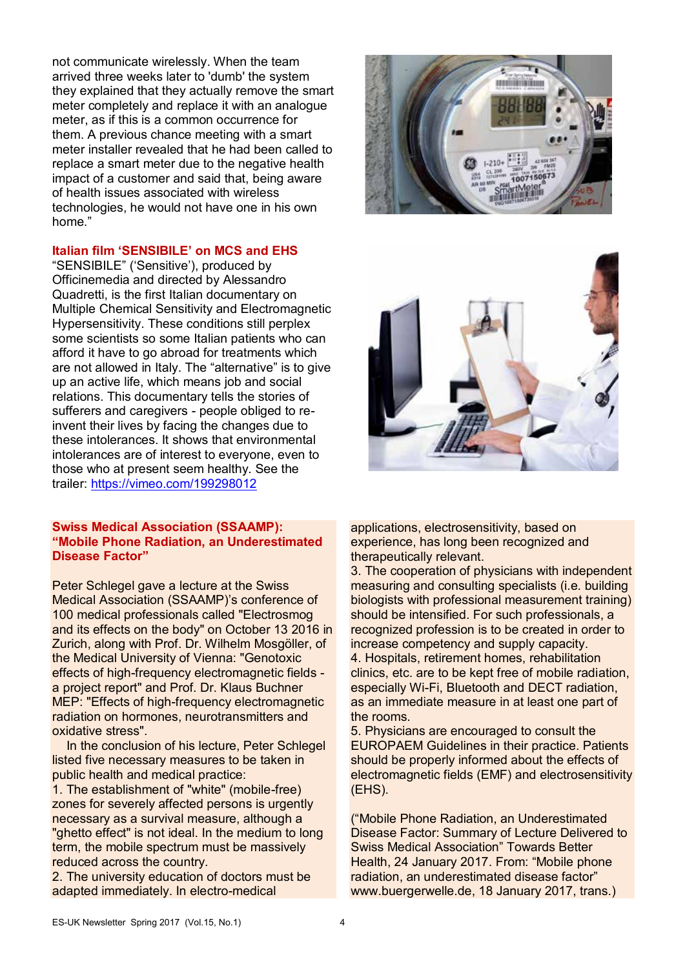not communicate wirelessly. When the team arrived three weeks later to 'dumb' the system they explained that they actually remove the smart meter completely and replace it with an analogue meter, as if this is a common occurrence for them. A previous chance meeting with a smart meter installer revealed that he had been called to replace a smart meter due to the negative health impact of a customer and said that, being aware of health issues associated with wireless technologies, he would not have one in his own home."

### **Italian film 'SENSIBILE' on MCS and EHS**

"SENSIBILE" ('Sensitive'), produced by Officinemedia and directed by Alessandro Quadretti, is the first Italian documentary on Multiple Chemical Sensitivity and Electromagnetic Hypersensitivity. These conditions still perplex some scientists so some Italian patients who can afford it have to go abroad for treatments which are not allowed in Italy. The "alternative" is to give up an active life, which means job and social relations. This documentary tells the stories of sufferers and caregivers - people obliged to reinvent their lives by facing the changes due to these intolerances. It shows that environmental intolerances are of interest to everyone, even to those who at present seem healthy. See the trailer: https://vimeo.com/199298012

#### **Swiss Medical Association (SSAAMP): "Mobile Phone Radiation, an Underestimated Disease Factor"**

Peter Schlegel gave a lecture at the Swiss Medical Association (SSAAMP)'s conference of 100 medical professionals called "Electrosmog and its effects on the body" on October 13 2016 in Zurich, along with Prof. Dr. Wilhelm Mosgöller, of the Medical University of Vienna: "Genotoxic effects of high-frequency electromagnetic fields a project report" and Prof. Dr. Klaus Buchner MEP: "Effects of high-frequency electromagnetic radiation on hormones, neurotransmitters and oxidative stress".

In the conclusion of his lecture, Peter Schlegel listed five necessary measures to be taken in public health and medical practice:

1. The establishment of "white" (mobile-free) zones for severely affected persons is urgently necessary as a survival measure, although a "ghetto effect" is not ideal. In the medium to long term, the mobile spectrum must be massively reduced across the country.

2. The university education of doctors must be adapted immediately. In electro-medical





applications, electrosensitivity, based on experience, has long been recognized and therapeutically relevant.

3. The cooperation of physicians with independent measuring and consulting specialists (i.e. building biologists with professional measurement training) should be intensified. For such professionals, a recognized profession is to be created in order to increase competency and supply capacity. 4. Hospitals, retirement homes, rehabilitation clinics, etc. are to be kept free of mobile radiation, especially Wi-Fi, Bluetooth and DECT radiation, as an immediate measure in at least one part of the rooms.

5. Physicians are encouraged to consult the EUROPAEM Guidelines in their practice. Patients should be properly informed about the effects of electromagnetic fields (EMF) and electrosensitivity (EHS).

("Mobile Phone Radiation, an Underestimated Disease Factor: Summary of Lecture Delivered to Swiss Medical Association" Towards Better Health, 24 January 2017. From: "Mobile phone radiation, an underestimated disease factor" www.buergerwelle.de, 18 January 2017, trans.)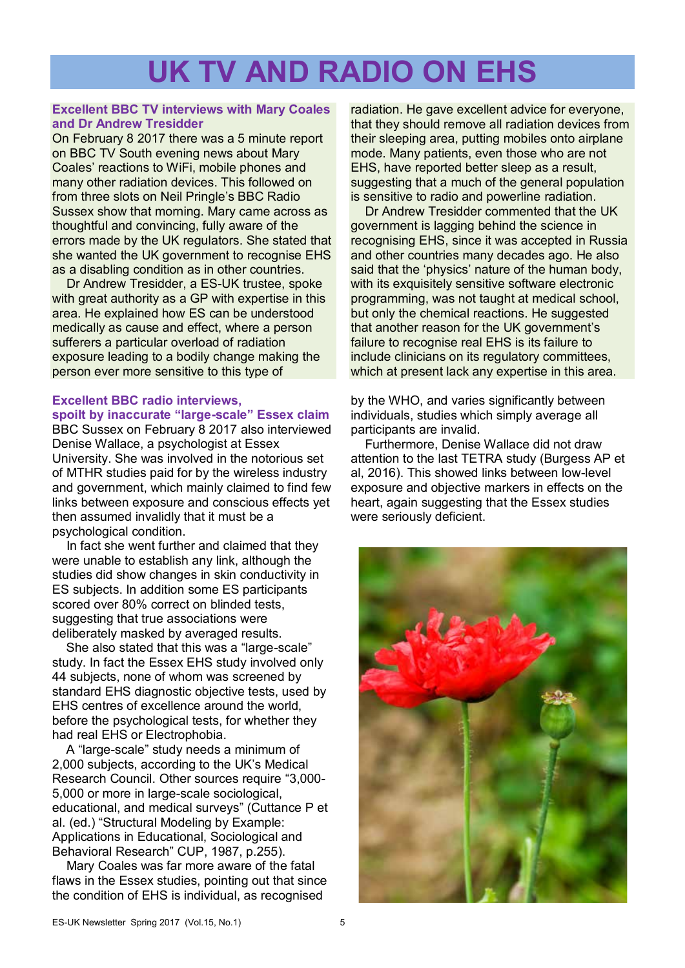# **UK TV AND RADIO ON EHS**

## **Excellent BBC TV interviews with Mary Coales and Dr Andrew Tresidder**

On February 8 2017 there was a 5 minute report on BBC TV South evening news about Mary Coales' reactions to WiFi, mobile phones and many other radiation devices. This followed on from three slots on Neil Pringle's BBC Radio Sussex show that morning. Mary came across as thoughtful and convincing, fully aware of the errors made by the UK regulators. She stated that she wanted the UK government to recognise EHS as a disabling condition as in other countries.

Dr Andrew Tresidder, a ES-UK trustee, spoke with great authority as a GP with expertise in this area. He explained how ES can be understood medically as cause and effect, where a person sufferers a particular overload of radiation exposure leading to a bodily change making the person ever more sensitive to this type of

## **Excellent BBC radio interviews, spoilt by inaccurate "large-scale" Essex claim**

BBC Sussex on February 8 2017 also interviewed Denise Wallace, a psychologist at Essex University. She was involved in the notorious set of MTHR studies paid for by the wireless industry and government, which mainly claimed to find few links between exposure and conscious effects yet then assumed invalidly that it must be a psychological condition.

In fact she went further and claimed that they were unable to establish any link, although the studies did show changes in skin conductivity in ES subjects. In addition some ES participants scored over 80% correct on blinded tests, suggesting that true associations were deliberately masked by averaged results.

She also stated that this was a "large-scale" study. In fact the Essex EHS study involved only 44 subjects, none of whom was screened by standard EHS diagnostic objective tests, used by EHS centres of excellence around the world, before the psychological tests, for whether they had real EHS or Electrophobia.

A "large-scale" study needs a minimum of 2,000 subjects, according to the UK's Medical Research Council. Other sources require "3,000- 5,000 or more in large-scale sociological, educational, and medical surveys" (Cuttance P et al. (ed.) "Structural Modeling by Example: Applications in Educational, Sociological and Behavioral Research" CUP, 1987, p.255).

Mary Coales was far more aware of the fatal flaws in the Essex studies, pointing out that since the condition of EHS is individual, as recognised

radiation. He gave excellent advice for everyone, that they should remove all radiation devices from their sleeping area, putting mobiles onto airplane mode. Many patients, even those who are not EHS, have reported better sleep as a result, suggesting that a much of the general population is sensitive to radio and powerline radiation.

Dr Andrew Tresidder commented that the UK government is lagging behind the science in recognising EHS, since it was accepted in Russia and other countries many decades ago. He also said that the 'physics' nature of the human body, with its exquisitely sensitive software electronic programming, was not taught at medical school, but only the chemical reactions. He suggested that another reason for the UK government's failure to recognise real EHS is its failure to include clinicians on its regulatory committees, which at present lack any expertise in this area.

by the WHO, and varies significantly between individuals, studies which simply average all participants are invalid.

Furthermore, Denise Wallace did not draw attention to the last TETRA study (Burgess AP et al, 2016). This showed links between low-level exposure and objective markers in effects on the heart, again suggesting that the Essex studies were seriously deficient.

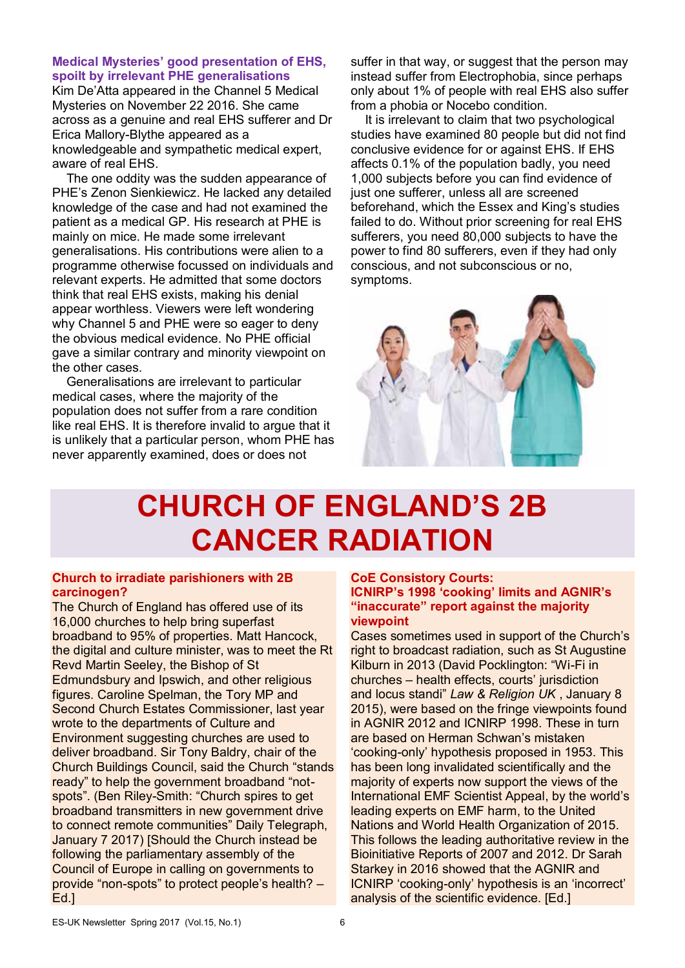#### **Medical Mysteries' good presentation of EHS, spoilt by irrelevant PHE generalisations**

Kim De'Atta appeared in the Channel 5 Medical Mysteries on November 22 2016. She came across as a genuine and real EHS sufferer and Dr Erica Mallory-Blythe appeared as a knowledgeable and sympathetic medical expert, aware of real EHS.

The one oddity was the sudden appearance of PHE's Zenon Sienkiewicz. He lacked any detailed knowledge of the case and had not examined the patient as a medical GP. His research at PHE is mainly on mice. He made some irrelevant generalisations. His contributions were alien to a programme otherwise focussed on individuals and relevant experts. He admitted that some doctors think that real EHS exists, making his denial appear worthless. Viewers were left wondering why Channel 5 and PHE were so eager to deny the obvious medical evidence. No PHE official gave a similar contrary and minority viewpoint on the other cases.

Generalisations are irrelevant to particular medical cases, where the majority of the population does not suffer from a rare condition like real EHS. It is therefore invalid to argue that it is unlikely that a particular person, whom PHE has never apparently examined, does or does not

suffer in that way, or suggest that the person may instead suffer from Electrophobia, since perhaps only about 1% of people with real EHS also suffer from a phobia or Nocebo condition.

It is irrelevant to claim that two psychological studies have examined 80 people but did not find conclusive evidence for or against EHS. If EHS affects 0.1% of the population badly, you need 1,000 subjects before you can find evidence of just one sufferer, unless all are screened beforehand, which the Essex and King's studies failed to do. Without prior screening for real EHS sufferers, you need 80,000 subjects to have the power to find 80 sufferers, even if they had only conscious, and not subconscious or no, symptoms.



# **CHURCH OF ENGLAND'S 2B CANCER RADIATION**

### **Church to irradiate parishioners with 2B carcinogen?**

The Church of England has offered use of its 16,000 churches to help bring superfast broadband to 95% of properties. Matt Hancock, the digital and culture minister, was to meet the Rt Revd Martin Seeley, the Bishop of St Edmundsbury and Ipswich, and other religious figures. Caroline Spelman, the Tory MP and Second Church Estates Commissioner, last year wrote to the departments of Culture and Environment suggesting churches are used to deliver broadband. Sir Tony Baldry, chair of the Church Buildings Council, said the Church "stands ready" to help the government broadband "notspots". (Ben Riley-Smith: "Church spires to get broadband transmitters in new government drive to connect remote communities" Daily Telegraph, January 7 2017) [Should the Church instead be following the parliamentary assembly of the Council of Europe in calling on governments to provide "non-spots" to protect people's health? – Ed.]

## **CoE Consistory Courts:**

**ICNIRP's 1998 'cooking' limits and AGNIR's "inaccurate" report against the majority viewpoint** 

Cases sometimes used in support of the Church's right to broadcast radiation, such as St Augustine Kilburn in 2013 (David Pocklington: "Wi-Fi in churches – health effects, courts' jurisdiction and locus standi" *Law & Religion UK* , January 8 2015), were based on the fringe viewpoints found in AGNIR 2012 and ICNIRP 1998. These in turn are based on Herman Schwan's mistaken 'cooking-only' hypothesis proposed in 1953. This has been long invalidated scientifically and the majority of experts now support the views of the International EMF Scientist Appeal, by the world's leading experts on EMF harm, to the United Nations and World Health Organization of 2015. This follows the leading authoritative review in the Bioinitiative Reports of 2007 and 2012. Dr Sarah Starkey in 2016 showed that the AGNIR and ICNIRP 'cooking-only' hypothesis is an 'incorrect' analysis of the scientific evidence. [Ed.]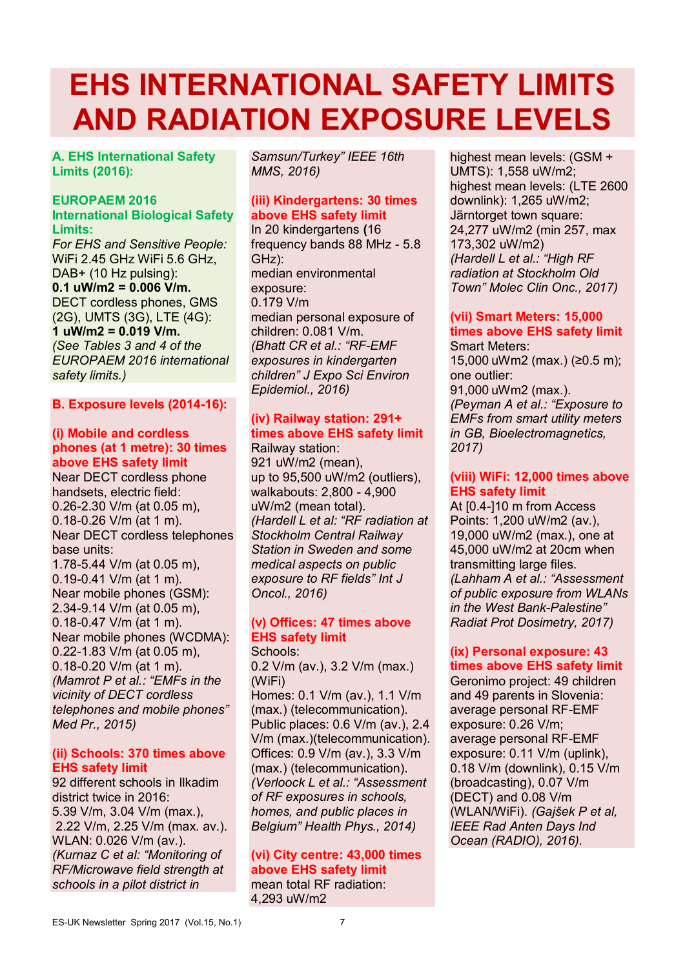# **EHS INTERNATIONAL SAFETY LIMITS AND RADIATION EXPOSURE LEVELS**

**A. EHS International Safety Limits (2016):**

## **EUROPAEM 2016**

#### **International Biological Safety Limits:**

*For EHS and Sensitive People:*  WiFi 2.45 GHz WiFi 5.6 GHz, DAB+ (10 Hz pulsing):  $0.1 \text{ uW/m2} = 0.006 \text{ V/m}.$ DECT cordless phones, GMS (2G), UMTS (3G), LTE (4G): **1 uW/m2 = 0.019 V/m.**  *(See Tables 3 and 4 of the EUROPAEM 2016 international safety limits.)* 

### **B. Exposure levels (2014-16):**

## **(i) Mobile and cordless phones (at 1 metre): 30 times above EHS safety limit**

Near DECT cordless phone handsets, electric field: 0.26-2.30 V/m (at 0.05 m), 0.18-0.26 V/m (at 1 m). Near DECT cordless telephones base units: 1.78-5.44 V/m (at 0.05 m), 0.19-0.41 V/m (at 1 m). Near mobile phones (GSM): 2.34-9.14 V/m (at 0.05 m), 0.18-0.47 V/m (at 1 m). Near mobile phones (WCDMA): 0.22-1.83 V/m (at 0.05 m), 0.18-0.20 V/m (at 1 m). *(Mamrot P et al.: "EMFs in the vicinity of DECT cordless telephones and mobile phones" Med Pr., 2015)*

#### **(ii) Schools: 370 times above EHS safety limit**

92 different schools in Ilkadim district twice in 2016: 5.39 V/m, 3.04 V/m (max.), 2.22 V/m, 2.25 V/m (max. av.). WLAN: 0.026 V/m (av.). *(Kurnaz C et al: "Monitoring of RF/Microwave field strength at schools in a pilot district in*

*Samsun/Turkey" IEEE 16th MMS, 2016)* 

## **(iii) Kindergartens: 30 times above EHS safety limit**

In 20 kindergartens **(**16 frequency bands 88 MHz - 5.8 GHz): median environmental exposure: 0.179 V/m median personal exposure of children: 0.081 V/m. *(Bhatt CR et al.: "RF-EMF exposures in kindergarten children" J Expo Sci Environ Epidemiol., 2016)*

## **(iv) Railway station: 291+ times above EHS safety limit**

Railway station: 921 uW/m2 (mean), up to 95,500 uW/m2 (outliers), walkabouts: 2,800 - 4,900 uW/m2 (mean total). *(Hardell L et al: "RF radiation at Stockholm Central Railway Station in Sweden and some medical aspects on public exposure to RF fields" Int J Oncol., 2016)*

## **(v) Offices: 47 times above EHS safety limit**

Schools: 0.2 V/m (av.), 3.2 V/m (max.) (WiFi) Homes: 0.1 V/m (av.), 1.1 V/m (max.) (telecommunication). Public places: 0.6 V/m (av.), 2.4 V/m (max.)(telecommunication). Offices: 0.9 V/m (av.), 3.3 V/m (max.) (telecommunication). *(Verloock L et al.: "Assessment of RF exposures in schools, homes, and public places in Belgium" Health Phys., 2014)*

### **(vi) City centre: 43,000 times above EHS safety limit** mean total RF radiation: 4,293 uW/m2

highest mean levels: (GSM + UMTS): 1,558 uW/m2; highest mean levels: (LTE 2600 downlink): 1,265 uW/m2; Järntorget town square: 24,277 uW/m2 (min 257, max 173,302 uW/m2) *(Hardell L et al.: "High RF radiation at Stockholm Old Town" Molec Clin Onc., 2017)* 

## **(vii) Smart Meters: 15,000 times above EHS safety limit**

Smart Meters: 15,000 uWm2 (max.) (≥0.5 m); one outlier: 91,000 uWm2 (max.). *(Peyman A et al.: "Exposure to EMFs from smart utility meters in GB, Bioelectromagnetics, 2017)*

#### **(viii) WiFi: 12,000 times above EHS safety limit**

At [0.4-]10 m from Access Points: 1,200 uW/m2 (av.), 19,000 uW/m2 (max.), one at 45,000 uW/m2 at 20cm when transmitting large files. *(Lahham A et al.: "Assessment of public exposure from WLANs in the West Bank-Palestine" Radiat Prot Dosimetry, 2017)*

## **(ix) Personal exposure: 43 times above EHS safety limit**

Geronimo project: 49 children and 49 parents in Slovenia: average personal RF-EMF exposure: 0.26 V/m; average personal RF-EMF exposure: 0.11 V/m (uplink), 0.18 V/m (downlink), 0.15 V/m (broadcasting), 0.07 V/m (DECT) and 0.08 V/m (WLAN/WiFi). *(Gajšek P et al, IEEE Rad Anten Days Ind Ocean (RADIO), 2016).*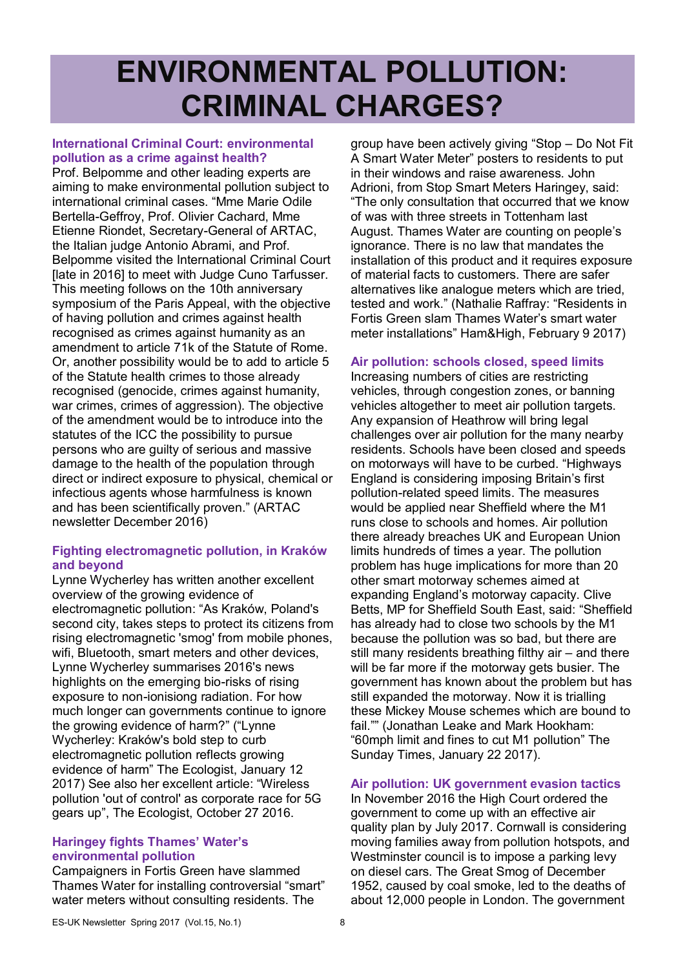# **ENVIRONMENTAL POLLUTION: CRIMINAL CHARGES?**

#### **International Criminal Court: environmental pollution as a crime against health?**

Prof. Belpomme and other leading experts are aiming to make environmental pollution subject to international criminal cases. "Mme Marie Odile Bertella-Geffroy, Prof. Olivier Cachard, Mme Etienne Riondet, Secretary-General of ARTAC, the Italian judge Antonio Abrami, and Prof. Belpomme visited the International Criminal Court [late in 2016] to meet with Judge Cuno Tarfusser. This meeting follows on the 10th anniversary symposium of the Paris Appeal, with the objective of having pollution and crimes against health recognised as crimes against humanity as an amendment to article 71k of the Statute of Rome. Or, another possibility would be to add to article 5 of the Statute health crimes to those already recognised (genocide, crimes against humanity, war crimes, crimes of aggression). The objective of the amendment would be to introduce into the statutes of the ICC the possibility to pursue persons who are guilty of serious and massive damage to the health of the population through direct or indirect exposure to physical, chemical or infectious agents whose harmfulness is known and has been scientifically proven." (ARTAC newsletter December 2016)

## **Fighting electromagnetic pollution, in Kraków and beyond**

Lynne Wycherley has written another excellent overview of the growing evidence of electromagnetic pollution: "As Kraków, Poland's second city, takes steps to protect its citizens from rising electromagnetic 'smog' from mobile phones, wifi, Bluetooth, smart meters and other devices, Lynne Wycherley summarises 2016's news highlights on the emerging bio-risks of rising exposure to non-ionisiong radiation. For how much longer can governments continue to ignore the growing evidence of harm?" ("Lynne Wycherley: Kraków's bold step to curb electromagnetic pollution reflects growing evidence of harm" The Ecologist, January 12 2017) See also her excellent article: "Wireless pollution 'out of control' as corporate race for 5G gears up", The Ecologist, October 27 2016.

#### **Haringey fights Thames' Water's environmental pollution**

Campaigners in Fortis Green have slammed Thames Water for installing controversial "smart" water meters without consulting residents. The

group have been actively giving "Stop – Do Not Fit A Smart Water Meter" posters to residents to put in their windows and raise awareness. John Adrioni, from Stop Smart Meters Haringey, said: "The only consultation that occurred that we know of was with three streets in Tottenham last August. Thames Water are counting on people's ignorance. There is no law that mandates the installation of this product and it requires exposure of material facts to customers. There are safer alternatives like analogue meters which are tried, tested and work." (Nathalie Raffray: "Residents in Fortis Green slam Thames Water's smart water meter installations" Ham&High, February 9 2017)

## **Air pollution: schools closed, speed limits**

Increasing numbers of cities are restricting vehicles, through congestion zones, or banning vehicles altogether to meet air pollution targets. Any expansion of Heathrow will bring legal challenges over air pollution for the many nearby residents. Schools have been closed and speeds on motorways will have to be curbed. "Highways England is considering imposing Britain's first pollution-related speed limits. The measures would be applied near Sheffield where the M1 runs close to schools and homes. Air pollution there already breaches UK and European Union limits hundreds of times a year. The pollution problem has huge implications for more than 20 other smart motorway schemes aimed at expanding England's motorway capacity. Clive Betts, MP for Sheffield South East, said: "Sheffield has already had to close two schools by the M1 because the pollution was so bad, but there are still many residents breathing filthy air – and there will be far more if the motorway gets busier. The government has known about the problem but has still expanded the motorway. Now it is trialling these Mickey Mouse schemes which are bound to fail."" (Jonathan Leake and Mark Hookham: "60mph limit and fines to cut M1 pollution" The Sunday Times, January 22 2017).

## **Air pollution: UK government evasion tactics**

In November 2016 the High Court ordered the government to come up with an effective air quality plan by July 2017. Cornwall is considering moving families away from pollution hotspots, and Westminster council is to impose a parking levy on diesel cars. The Great Smog of December 1952, caused by coal smoke, led to the deaths of about 12,000 people in London. The government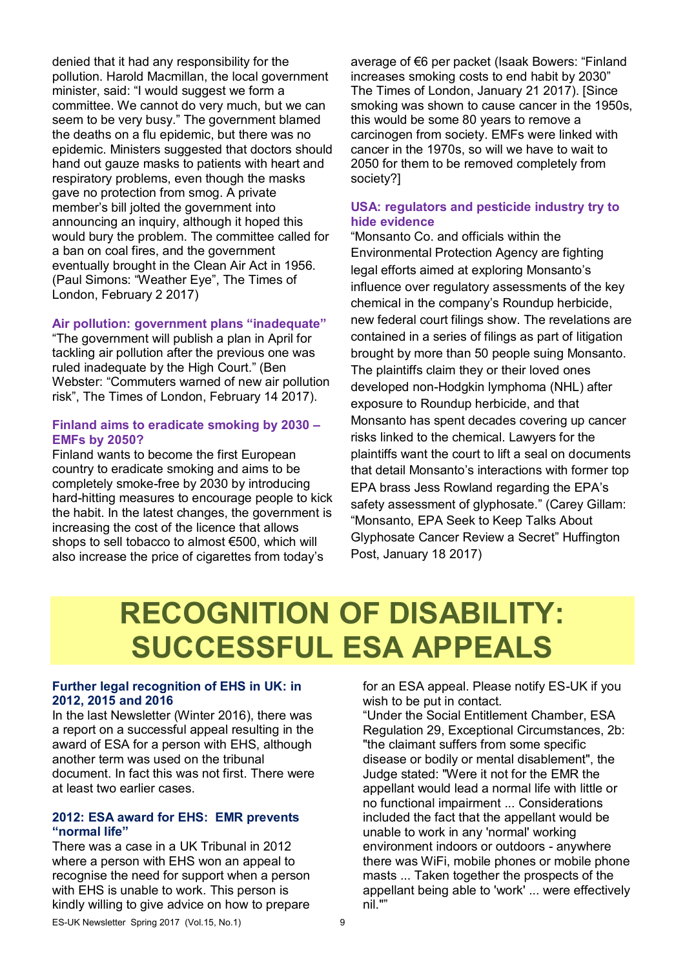denied that it had any responsibility for the pollution. Harold Macmillan, the local government minister, said: "I would suggest we form a committee. We cannot do very much, but we can seem to be very busy." The government blamed the deaths on a flu epidemic, but there was no epidemic. Ministers suggested that doctors should hand out gauze masks to patients with heart and respiratory problems, even though the masks gave no protection from smog. A private member's bill jolted the government into announcing an inquiry, although it hoped this would bury the problem. The committee called for a ban on coal fires, and the government eventually brought in the Clean Air Act in 1956. (Paul Simons: "Weather Eye", The Times of London, February 2 2017)

#### **Air pollution: government plans "inadequate"**

"The government will publish a plan in April for tackling air pollution after the previous one was ruled inadequate by the High Court." (Ben Webster: "Commuters warned of new air pollution risk", The Times of London, February 14 2017).

#### **Finland aims to eradicate smoking by 2030 – EMFs by 2050?**

Finland wants to become the first European country to eradicate smoking and aims to be completely smoke-free by 2030 by introducing hard-hitting measures to encourage people to kick the habit. In the latest changes, the government is increasing the cost of the licence that allows shops to sell tobacco to almost €500, which will also increase the price of cigarettes from today's

average of €6 per packet (Isaak Bowers: "Finland increases smoking costs to end habit by 2030" The Times of London, January 21 2017). [Since smoking was shown to cause cancer in the 1950s, this would be some 80 years to remove a carcinogen from society. EMFs were linked with cancer in the 1970s, so will we have to wait to 2050 for them to be removed completely from society?]

#### **USA: regulators and pesticide industry try to hide evidence**

"Monsanto Co. and officials within the Environmental Protection Agency are fighting legal efforts aimed at exploring Monsanto's influence over regulatory assessments of the key chemical in the company's Roundup herbicide, new federal court filings show. The revelations are contained in a series of filings as part of litigation brought by more than 50 people suing Monsanto. The plaintiffs claim they or their loved ones developed non-Hodgkin lymphoma (NHL) after exposure to Roundup herbicide, and that Monsanto has spent decades covering up cancer risks linked to the chemical. Lawyers for the plaintiffs want the court to lift a seal on documents that detail Monsanto's interactions with former top EPA brass Jess Rowland regarding the EPA's safety assessment of glyphosate." (Carey Gillam: "Monsanto, EPA Seek to Keep Talks About Glyphosate Cancer Review a Secret" Huffington Post, January 18 2017)

# **RECOGNITION OF DISABILITY: SUCCESSFUL ESA APPEALS**

#### **Further legal recognition of EHS in UK: in 2012, 2015 and 2016**

In the last Newsletter (Winter 2016), there was a report on a successful appeal resulting in the award of ESA for a person with EHS, although another term was used on the tribunal document. In fact this was not first. There were at least two earlier cases.

#### **2012: ESA award for EHS: EMR prevents "normal life"**

There was a case in a UK Tribunal in 2012 where a person with EHS won an appeal to recognise the need for support when a person with EHS is unable to work. This person is kindly willing to give advice on how to prepare

for an ESA appeal. Please notify ES-UK if you wish to be put in contact.

"Under the Social Entitlement Chamber, ESA Regulation 29, Exceptional Circumstances, 2b: "the claimant suffers from some specific disease or bodily or mental disablement", the Judge stated: "Were it not for the EMR the appellant would lead a normal life with little or no functional impairment ... Considerations included the fact that the appellant would be unable to work in any 'normal' working environment indoors or outdoors - anywhere there was WiFi, mobile phones or mobile phone masts ... Taken together the prospects of the appellant being able to 'work' ... were effectively nil.""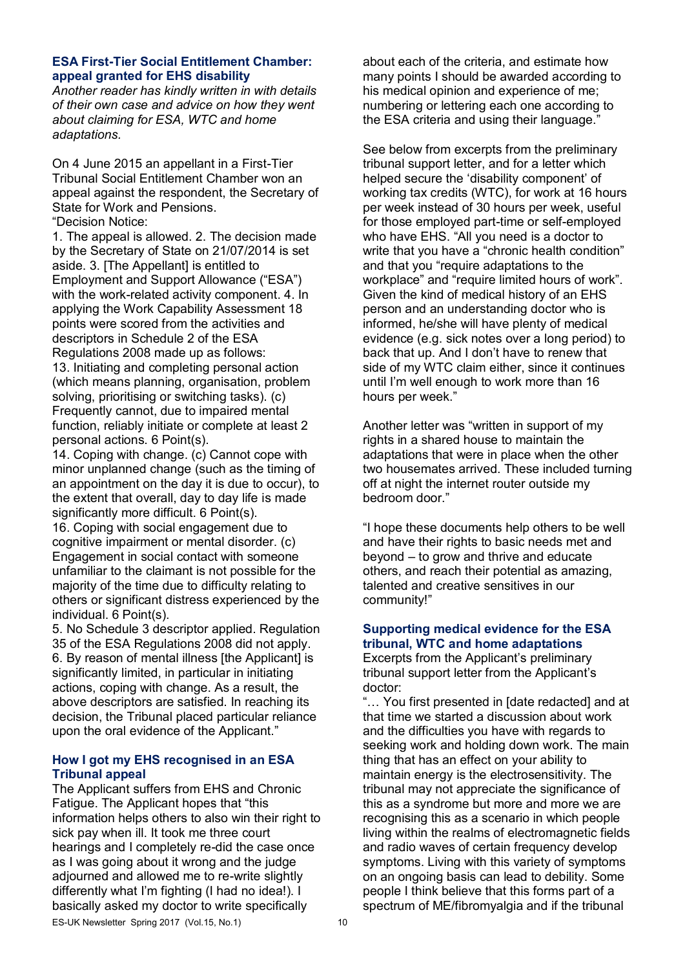#### **ESA First-Tier Social Entitlement Chamber: appeal granted for EHS disability**

*Another reader has kindly written in with details of their own case and advice on how they went about claiming for ESA, WTC and home adaptations.* 

On 4 June 2015 an appellant in a First-Tier Tribunal Social Entitlement Chamber won an appeal against the respondent, the Secretary of State for Work and Pensions. "Decision Notice:

1. The appeal is allowed. 2. The decision made by the Secretary of State on 21/07/2014 is set aside. 3. [The Appellant] is entitled to Employment and Support Allowance ("ESA") with the work-related activity component. 4. In applying the Work Capability Assessment 18 points were scored from the activities and descriptors in Schedule 2 of the ESA Regulations 2008 made up as follows:

13. Initiating and completing personal action (which means planning, organisation, problem solving, prioritising or switching tasks). (c) Frequently cannot, due to impaired mental function, reliably initiate or complete at least 2 personal actions. 6 Point(s).

14. Coping with change. (c) Cannot cope with minor unplanned change (such as the timing of an appointment on the day it is due to occur), to the extent that overall, day to day life is made significantly more difficult. 6 Point(s).

16. Coping with social engagement due to cognitive impairment or mental disorder. (c) Engagement in social contact with someone unfamiliar to the claimant is not possible for the majority of the time due to difficulty relating to others or significant distress experienced by the individual. 6 Point(s).

5. No Schedule 3 descriptor applied. Regulation 35 of the ESA Regulations 2008 did not apply. 6. By reason of mental illness [the Applicant] is significantly limited, in particular in initiating actions, coping with change. As a result, the above descriptors are satisfied. In reaching its decision, the Tribunal placed particular reliance upon the oral evidence of the Applicant."

## **How I got my EHS recognised in an ESA Tribunal appeal**

The Applicant suffers from EHS and Chronic Fatigue. The Applicant hopes that "this information helps others to also win their right to sick pay when ill. It took me three court hearings and I completely re-did the case once as I was going about it wrong and the judge adjourned and allowed me to re-write slightly differently what I'm fighting (I had no idea!). I basically asked my doctor to write specifically

about each of the criteria, and estimate how many points I should be awarded according to his medical opinion and experience of me; numbering or lettering each one according to the ESA criteria and using their language."

See below from excerpts from the preliminary tribunal support letter, and for a letter which helped secure the 'disability component' of working tax credits (WTC), for work at 16 hours per week instead of 30 hours per week, useful for those employed part-time or self-employed who have EHS. "All you need is a doctor to write that you have a "chronic health condition" and that you "require adaptations to the workplace" and "require limited hours of work". Given the kind of medical history of an EHS person and an understanding doctor who is informed, he/she will have plenty of medical evidence (e.g. sick notes over a long period) to back that up. And I don't have to renew that side of my WTC claim either, since it continues until I'm well enough to work more than 16 hours per week."

Another letter was "written in support of my rights in a shared house to maintain the adaptations that were in place when the other two housemates arrived. These included turning off at night the internet router outside my bedroom door."

"I hope these documents help others to be well and have their rights to basic needs met and beyond – to grow and thrive and educate others, and reach their potential as amazing, talented and creative sensitives in our community!"

## **Supporting medical evidence for the ESA tribunal, WTC and home adaptations**

Excerpts from the Applicant's preliminary tribunal support letter from the Applicant's doctor:

"… You first presented in [date redacted] and at that time we started a discussion about work and the difficulties you have with regards to seeking work and holding down work. The main thing that has an effect on your ability to maintain energy is the electrosensitivity. The tribunal may not appreciate the significance of this as a syndrome but more and more we are recognising this as a scenario in which people living within the realms of electromagnetic fields and radio waves of certain frequency develop symptoms. Living with this variety of symptoms on an ongoing basis can lead to debility. Some people I think believe that this forms part of a spectrum of ME/fibromyalgia and if the tribunal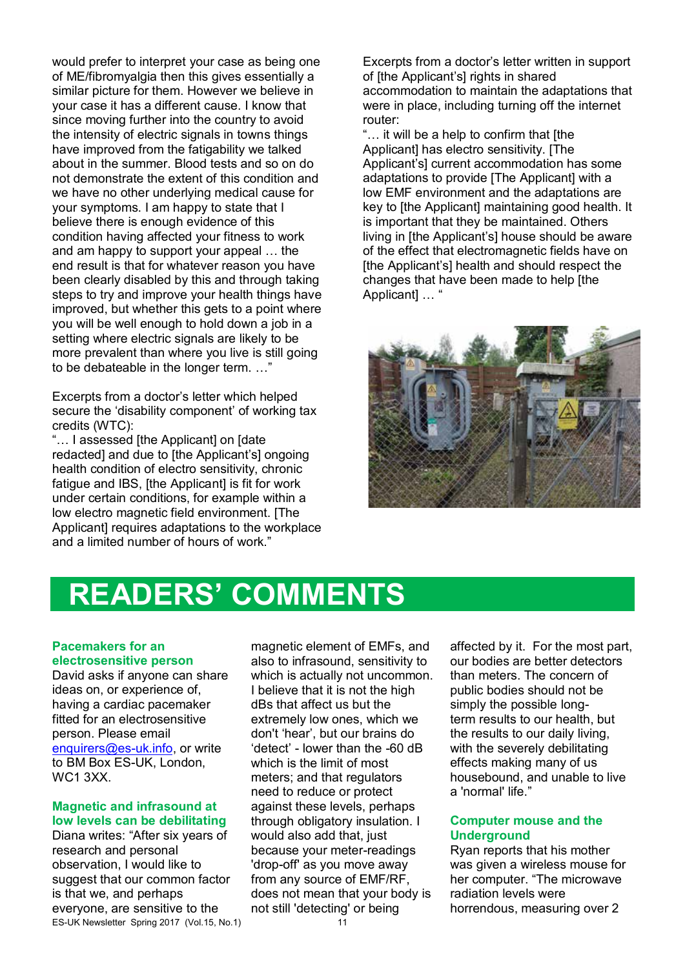would prefer to interpret your case as being one of ME/fibromyalgia then this gives essentially a similar picture for them. However we believe in your case it has a different cause. I know that since moving further into the country to avoid the intensity of electric signals in towns things have improved from the fatigability we talked about in the summer. Blood tests and so on do not demonstrate the extent of this condition and we have no other underlying medical cause for your symptoms. I am happy to state that I believe there is enough evidence of this condition having affected your fitness to work and am happy to support your appeal … the end result is that for whatever reason you have been clearly disabled by this and through taking steps to try and improve your health things have improved, but whether this gets to a point where you will be well enough to hold down a job in a setting where electric signals are likely to be more prevalent than where you live is still going to be debateable in the longer term. …"

Excerpts from a doctor's letter which helped secure the 'disability component' of working tax credits (WTC):

"… I assessed [the Applicant] on [date redacted] and due to [the Applicant's] ongoing health condition of electro sensitivity, chronic fatigue and IBS. Ithe Applicantl is fit for work under certain conditions, for example within a low electro magnetic field environment. [The Applicant] requires adaptations to the workplace and a limited number of hours of work."

Excerpts from a doctor's letter written in support of [the Applicant's] rights in shared accommodation to maintain the adaptations that were in place, including turning off the internet router:

"… it will be a help to confirm that [the Applicantl has electro sensitivity. [The Applicant's] current accommodation has some adaptations to provide [The Applicant] with a low EMF environment and the adaptations are key to [the Applicant] maintaining good health. It is important that they be maintained. Others living in [the Applicant's] house should be aware of the effect that electromagnetic fields have on [the Applicant's] health and should respect the changes that have been made to help [the Applicant] … "



## **READERS' COMMENTS**

#### **Pacemakers for an electrosensitive person**

David asks if anyone can share ideas on, or experience of, having a cardiac pacemaker fitted for an electrosensitive person. Please email enquirers@es-uk.info, or write to BM Box ES-UK, London, WC1 3XX.

#### **Magnetic and infrasound at low levels can be debilitating**

Diana writes: "After six years of research and personal observation, I would like to suggest that our common factor is that we, and perhaps everyone, are sensitive to the ES-UK Newsletter Spring 2017 (Vol.15, No.1)

magnetic element of EMFs, and also to infrasound, sensitivity to which is actually not uncommon. I believe that it is not the high dBs that affect us but the extremely low ones, which we don't 'hear', but our brains do 'detect' - lower than the -60 dB which is the limit of most meters; and that regulators need to reduce or protect against these levels, perhaps through obligatory insulation. I would also add that, just because your meter-readings 'drop-off' as you move away from any source of EMF/RF, does not mean that your body is not still 'detecting' or being

affected by it. For the most part, our bodies are better detectors than meters. The concern of public bodies should not be simply the possible longterm results to our health, but the results to our daily living, with the severely debilitating effects making many of us housebound, and unable to live a 'normal' life."

### **Computer mouse and the Underground**

Ryan reports that his mother was given a wireless mouse for her computer. "The microwave radiation levels were horrendous, measuring over 2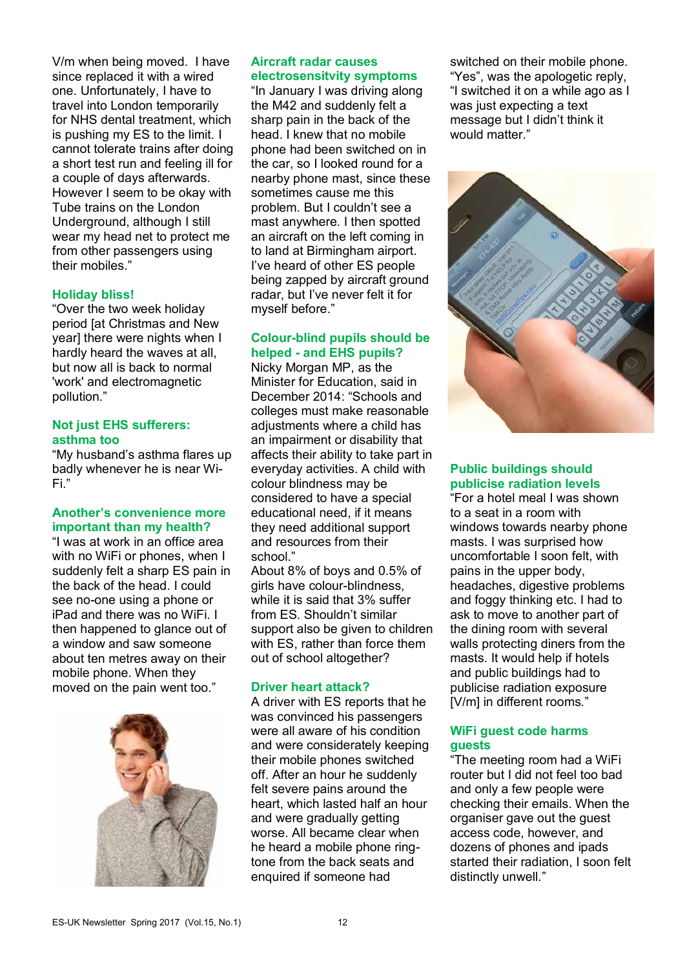V/m when being moved. I have since replaced it with a wired one. Unfortunately, I have to travel into London temporarily for NHS dental treatment, which is pushing my ES to the limit. I cannot tolerate trains after doing a short test run and feeling ill for a couple of days afterwards. However I seem to be okay with Tube trains on the London Underground, although I still wear my head net to protect me from other passengers using their mobiles."

### **Holiday bliss!**

"Over the two week holiday period [at Christmas and New year] there were nights when I hardly heard the waves at all, but now all is back to normal 'work' and electromagnetic pollution."

#### **Not just EHS sufferers: asthma too**

"My husband's asthma flares up badly whenever he is near Wi-Fi."

### **Another's convenience more important than my health?**

"I was at work in an office area with no WiFi or phones, when I suddenly felt a sharp ES pain in the back of the head. I could see no-one using a phone or iPad and there was no WiFi. I then happened to glance out of a window and saw someone about ten metres away on their mobile phone. When they moved on the pain went too."



#### **Aircraft radar causes electrosensitvity symptoms**

"In January I was driving along the M42 and suddenly felt a sharp pain in the back of the head. I knew that no mobile phone had been switched on in the car, so I looked round for a nearby phone mast, since these sometimes cause me this problem. But I couldn't see a mast anywhere. I then spotted an aircraft on the left coming in to land at Birmingham airport. I've heard of other ES people being zapped by aircraft ground radar, but I've never felt it for myself before."

## **Colour-blind pupils should be helped - and EHS pupils?**

Nicky Morgan MP, as the Minister for Education, said in December 2014: "Schools and colleges must make reasonable adjustments where a child has an impairment or disability that affects their ability to take part in everyday activities. A child with colour blindness may be considered to have a special educational need, if it means they need additional support and resources from their school."

About 8% of boys and 0.5% of girls have colour-blindness, while it is said that 3% suffer from ES. Shouldn't similar support also be given to children with ES, rather than force them out of school altogether?

## **Driver heart attack?**

A driver with ES reports that he was convinced his passengers were all aware of his condition and were considerately keeping their mobile phones switched off. After an hour he suddenly felt severe pains around the heart, which lasted half an hour and were gradually getting worse. All became clear when he heard a mobile phone ringtone from the back seats and enquired if someone had

switched on their mobile phone. "Yes", was the apologetic reply, "I switched it on a while ago as I was just expecting a text message but I didn't think it would matter."



### **Public buildings should publicise radiation levels**

"For a hotel meal I was shown to a seat in a room with windows towards nearby phone masts. I was surprised how uncomfortable I soon felt, with pains in the upper body, headaches, digestive problems and foggy thinking etc. I had to ask to move to another part of the dining room with several walls protecting diners from the masts. It would help if hotels and public buildings had to publicise radiation exposure [V/m] in different rooms."

### **WiFi guest code harms guests**

"The meeting room had a WiFi router but I did not feel too bad and only a few people were checking their emails. When the organiser gave out the guest access code, however, and dozens of phones and ipads started their radiation, I soon felt distinctly unwell."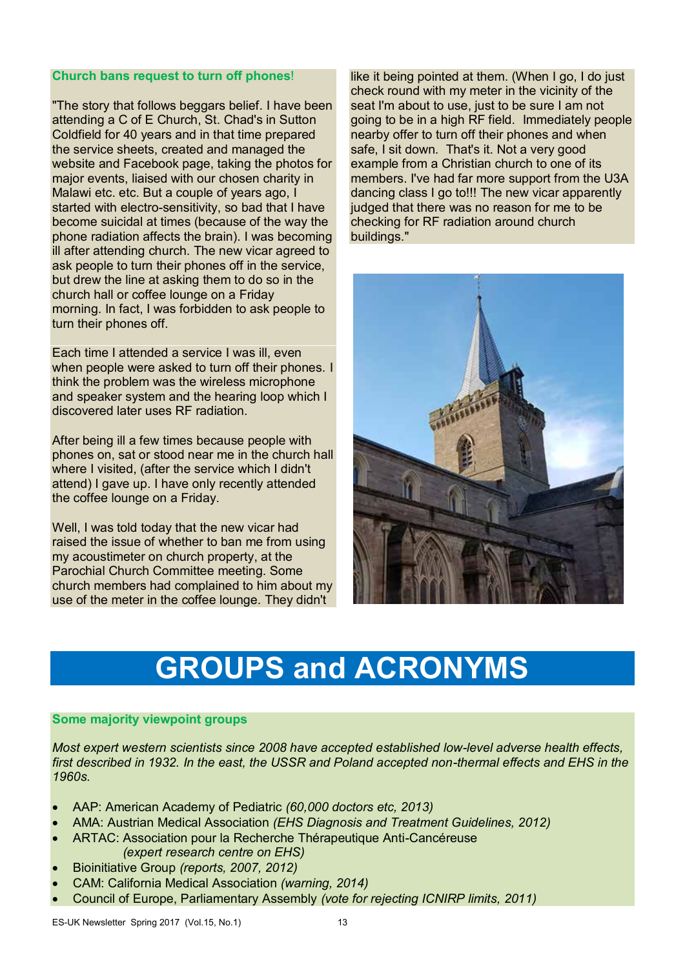#### **Church bans request to turn off phones**!

"The story that follows beggars belief. I have been attending a C of E Church, St. Chad's in Sutton Coldfield for 40 years and in that time prepared the service sheets, created and managed the website and Facebook page, taking the photos for major events, liaised with our chosen charity in Malawi etc. etc. But a couple of years ago, I started with electro-sensitivity, so bad that I have become suicidal at times (because of the way the phone radiation affects the brain). I was becoming ill after attending church. The new vicar agreed to ask people to turn their phones off in the service, but drew the line at asking them to do so in the church hall or coffee lounge on a Friday morning. In fact, I was forbidden to ask people to turn their phones off.

Each time I attended a service I was ill, even when people were asked to turn off their phones. I think the problem was the wireless microphone and speaker system and the hearing loop which I discovered later uses RF radiation.

After being ill a few times because people with phones on, sat or stood near me in the church hall where I visited, (after the service which I didn't attend) I gave up. I have only recently attended the coffee lounge on a Friday.

Well, I was told today that the new vicar had raised the issue of whether to ban me from using my acoustimeter on church property, at the Parochial Church Committee meeting. Some church members had complained to him about my use of the meter in the coffee lounge. They didn't

like it being pointed at them. (When I go, I do just check round with my meter in the vicinity of the seat I'm about to use, just to be sure I am not going to be in a high RF field. Immediately people nearby offer to turn off their phones and when safe, I sit down. That's it. Not a very good example from a Christian church to one of its members. I've had far more support from the U3A dancing class I go to!!! The new vicar apparently judged that there was no reason for me to be checking for RF radiation around church buildings."



# **GROUPS and ACRONYMS**

## **Some majority viewpoint groups**

*Most expert western scientists since 2008 have accepted established low-level adverse health effects, first described in 1932. In the east, the USSR and Poland accepted non-thermal effects and EHS in the 1960s.* 

- AAP: American Academy of Pediatric *(60,000 doctors etc, 2013)*
- AMA: Austrian Medical Association *(EHS Diagnosis and Treatment Guidelines, 2012)*
- ARTAC: Association pour la Recherche Thérapeutique Anti-Cancéreuse *(expert research centre on EHS)*
- Bioinitiative Group *(reports, 2007, 2012)*
- CAM: California Medical Association *(warning, 2014)*
- Council of Europe, Parliamentary Assembly *(vote for rejecting ICNIRP limits, 2011)*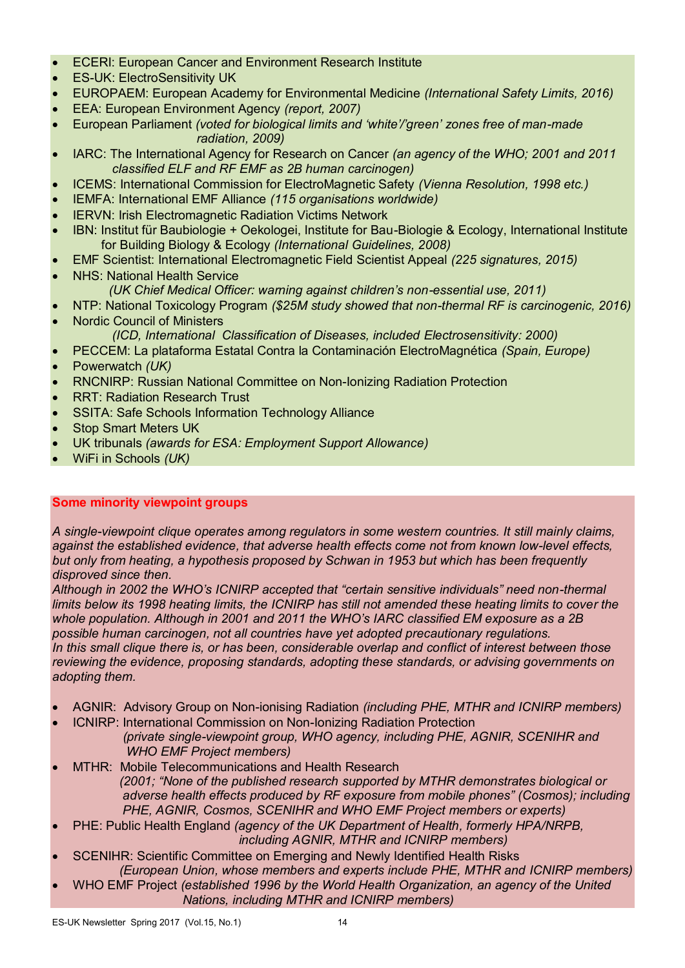- ECERI: European Cancer and Environment Research Institute
- ES-UK: ElectroSensitivity UK
- EUROPAEM: European Academy for Environmental Medicine *(International Safety Limits, 2016)*
- EEA: European Environment Agency *(report, 2007)*
- European Parliament *(voted for biological limits and 'white'/'green' zones free of man-made radiation, 2009)*
- IARC: The International Agency for Research on Cancer *(an agency of the WHO; 2001 and 2011 classified ELF and RF EMF as 2B human carcinogen)*
- ICEMS: International Commission for ElectroMagnetic Safety *(Vienna Resolution, 1998 etc.)*
- IEMFA: International EMF Alliance *(115 organisations worldwide)*
- IERVN: Irish Electromagnetic Radiation Victims Network
- IBN: Institut für Baubiologie + Oekologei, Institute for Bau-Biologie & Ecology, International Institute for Building Biology & Ecology *(International Guidelines, 2008)*
- EMF Scientist: International Electromagnetic Field Scientist Appeal *(225 signatures, 2015)*
- NHS: National Health Service *(UK Chief Medical Officer: warning against children's non-essential use, 2011)*
- NTP: National Toxicology Program *(\$25M study showed that non-thermal RF is carcinogenic, 2016)*
- Nordic Council of Ministers *(ICD, International Classification of Diseases, included Electrosensitivity: 2000)*
- PECCEM: La plataforma Estatal Contra la Contaminación ElectroMagnética *(Spain, Europe)*
- Powerwatch *(UK)*
- RNCNIRP: Russian National Committee on Non-Ionizing Radiation Protection
- RRT: Radiation Research Trust
- SSITA: Safe Schools Information Technology Alliance
- Stop Smart Meters UK
- UK tribunals *(awards for ESA: Employment Support Allowance)*
- WiFi in Schools *(UK)*

## **Some minority viewpoint groups**

*A single-viewpoint clique operates among regulators in some western countries. It still mainly claims, against the established evidence, that adverse health effects come not from known low-level effects, but only from heating, a hypothesis proposed by Schwan in 1953 but which has been frequently disproved since then.*

*Although in 2002 the WHO's ICNIRP accepted that "certain sensitive individuals" need non-thermal limits below its 1998 heating limits, the ICNIRP has still not amended these heating limits to cover the whole population. Although in 2001 and 2011 the WHO's IARC classified EM exposure as a 2B possible human carcinogen, not all countries have yet adopted precautionary regulations. In this small clique there is, or has been, considerable overlap and conflict of interest between those reviewing the evidence, proposing standards, adopting these standards, or advising governments on adopting them.* 

- AGNIR: Advisory Group on Non-ionising Radiation *(including PHE, MTHR and ICNIRP members)*
- ICNIRP: International Commission on Non-Ionizing Radiation Protection *(private single-viewpoint group, WHO agency, including PHE, AGNIR, SCENIHR and WHO EMF Project members)*
- MTHR: Mobile Telecommunications and Health Research *(2001; "None of the published research supported by MTHR demonstrates biological or adverse health effects produced by RF exposure from mobile phones" (Cosmos); including PHE, AGNIR, Cosmos, SCENIHR and WHO EMF Project members or experts)*
- PHE: Public Health England *(agency of the UK Department of Health, formerly HPA/NRPB, including AGNIR, MTHR and ICNIRP members)*
- SCENIHR: Scientific Committee on Emerging and Newly Identified Health Risks *(European Union, whose members and experts include PHE, MTHR and ICNIRP members)*
- WHO EMF Project *(established 1996 by the World Health Organization, an agency of the United Nations, including MTHR and ICNIRP members)*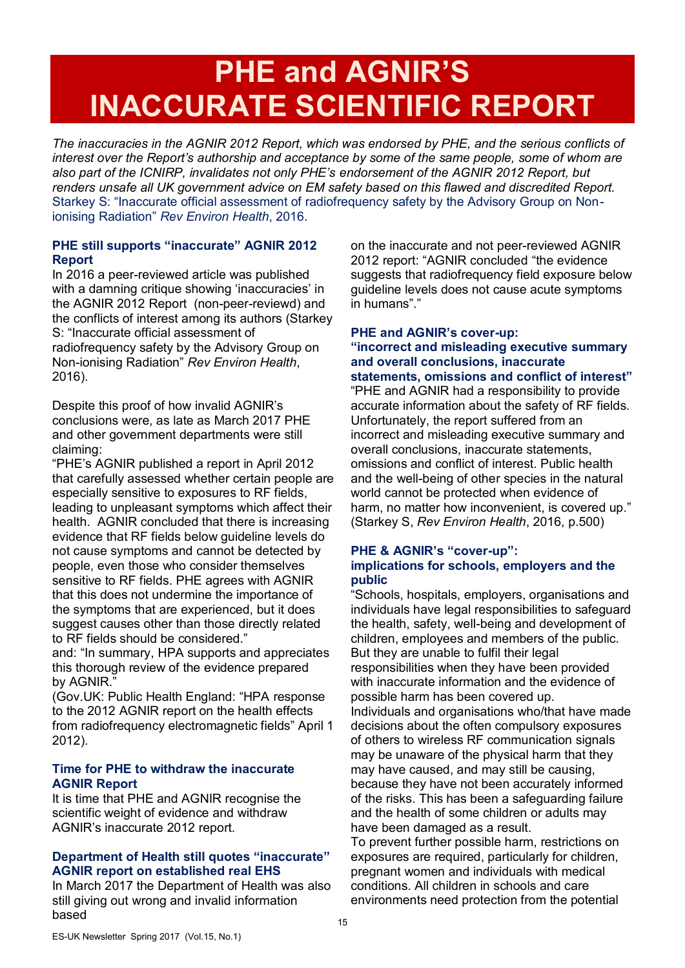# **PHE and AGNIR'S INACCURATE SCIENTIFIC REPORT**

*The inaccuracies in the AGNIR 2012 Report, which was endorsed by PHE, and the serious conflicts of interest over the Report's authorship and acceptance by some of the same people, some of whom are also part of the ICNIRP, invalidates not only PHE's endorsement of the AGNIR 2012 Report, but renders unsafe all UK government advice on EM safety based on this flawed and discredited Report.*  Starkey S: "Inaccurate official assessment of radiofrequency safety by the Advisory Group on Nonionising Radiation" *Rev Environ Health*, 2016.

## **PHE still supports "inaccurate" AGNIR 2012 Report**

In 2016 a peer-reviewed article was published with a damning critique showing 'inaccuracies' in the AGNIR 2012 Report (non-peer-reviewd) and the conflicts of interest among its authors (Starkey S: "Inaccurate official assessment of radiofrequency safety by the Advisory Group on Non-ionising Radiation" *Rev Environ Health*, 2016).

Despite this proof of how invalid AGNIR's conclusions were, as late as March 2017 PHE and other government departments were still claiming:

"PHE's AGNIR published a report in April 2012 that carefully assessed whether certain people are especially sensitive to exposures to RF fields, leading to unpleasant symptoms which affect their health. AGNIR concluded that there is increasing evidence that RF fields below guideline levels do not cause symptoms and cannot be detected by people, even those who consider themselves sensitive to RF fields. PHE agrees with AGNIR that this does not undermine the importance of the symptoms that are experienced, but it does suggest causes other than those directly related to RF fields should be considered."

and: "In summary, HPA supports and appreciates this thorough review of the evidence prepared by AGNIR."

(Gov.UK: Public Health England: "HPA response to the 2012 AGNIR report on the health effects from radiofrequency electromagnetic fields" April 1 2012).

## **Time for PHE to withdraw the inaccurate AGNIR Report**

It is time that PHE and AGNIR recognise the scientific weight of evidence and withdraw AGNIR's inaccurate 2012 report.

## **Department of Health still quotes "inaccurate" AGNIR report on established real EHS**

In March 2017 the Department of Health was also still giving out wrong and invalid information based

on the inaccurate and not peer-reviewed AGNIR 2012 report: "AGNIR concluded "the evidence suggests that radiofrequency field exposure below guideline levels does not cause acute symptoms in humans"."

#### **PHE and AGNIR's cover-up: "incorrect and misleading executive summary and overall conclusions, inaccurate statements, omissions and conflict of interest"**

"PHE and AGNIR had a responsibility to provide accurate information about the safety of RF fields. Unfortunately, the report suffered from an incorrect and misleading executive summary and overall conclusions, inaccurate statements, omissions and conflict of interest. Public health and the well-being of other species in the natural world cannot be protected when evidence of harm, no matter how inconvenient, is covered up." (Starkey S, *Rev Environ Health*, 2016, p.500)

### **PHE & AGNIR's "cover-up": implications for schools, employers and the public**

"Schools, hospitals, employers, organisations and individuals have legal responsibilities to safeguard the health, safety, well-being and development of children, employees and members of the public. But they are unable to fulfil their legal responsibilities when they have been provided with inaccurate information and the evidence of possible harm has been covered up. Individuals and organisations who/that have made decisions about the often compulsory exposures of others to wireless RF communication signals may be unaware of the physical harm that they may have caused, and may still be causing, because they have not been accurately informed of the risks. This has been a safeguarding failure and the health of some children or adults may have been damaged as a result.

To prevent further possible harm, restrictions on exposures are required, particularly for children, pregnant women and individuals with medical conditions. All children in schools and care environments need protection from the potential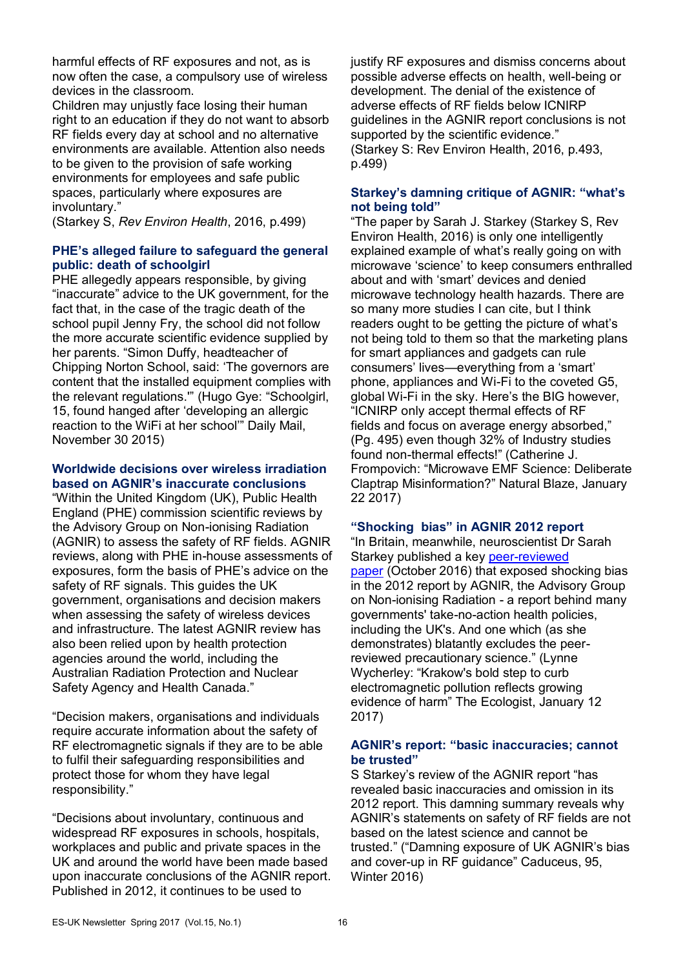harmful effects of RF exposures and not, as is now often the case, a compulsory use of wireless devices in the classroom.

Children may unjustly face losing their human right to an education if they do not want to absorb RF fields every day at school and no alternative environments are available. Attention also needs to be given to the provision of safe working environments for employees and safe public spaces, particularly where exposures are involuntary."

(Starkey S, *Rev Environ Health*, 2016, p.499)

## **PHE's alleged failure to safeguard the general public: death of schoolgirl**

PHE allegedly appears responsible, by giving "inaccurate" advice to the UK government, for the fact that, in the case of the tragic death of the school pupil Jenny Fry, the school did not follow the more accurate scientific evidence supplied by her parents. "Simon Duffy, headteacher of Chipping Norton School, said: 'The governors are content that the installed equipment complies with the relevant regulations.'" (Hugo Gye: "Schoolgirl, 15, found hanged after 'developing an allergic reaction to the WiFi at her school'" Daily Mail, November 30 2015)

#### **Worldwide decisions over wireless irradiation based on AGNIR's inaccurate conclusions**

"Within the United Kingdom (UK), Public Health England (PHE) commission scientific reviews by the Advisory Group on Non-ionising Radiation (AGNIR) to assess the safety of RF fields. AGNIR reviews, along with PHE in-house assessments of exposures, form the basis of PHE's advice on the safety of RF signals. This guides the UK government, organisations and decision makers when assessing the safety of wireless devices and infrastructure. The latest AGNIR review has also been relied upon by health protection agencies around the world, including the Australian Radiation Protection and Nuclear Safety Agency and Health Canada."

"Decision makers, organisations and individuals require accurate information about the safety of RF electromagnetic signals if they are to be able to fulfil their safeguarding responsibilities and protect those for whom they have legal responsibility."

"Decisions about involuntary, continuous and widespread RF exposures in schools, hospitals, workplaces and public and private spaces in the UK and around the world have been made based upon inaccurate conclusions of the AGNIR report. Published in 2012, it continues to be used to

justify RF exposures and dismiss concerns about possible adverse effects on health, well-being or development. The denial of the existence of adverse effects of RF fields below ICNIRP guidelines in the AGNIR report conclusions is not supported by the scientific evidence." (Starkey S: Rev Environ Health, 2016, p.493, p.499)

## **Starkey's damning critique of AGNIR: "what's not being told"**

"The paper by Sarah J. Starkey (Starkey S, Rev Environ Health, 2016) is only one intelligently explained example of what's really going on with microwave 'science' to keep consumers enthralled about and with 'smart' devices and denied microwave technology health hazards. There are so many more studies I can cite, but I think readers ought to be getting the picture of what's not being told to them so that the marketing plans for smart appliances and gadgets can rule consumers' lives—everything from a 'smart' phone, appliances and Wi-Fi to the coveted G5, global Wi-Fi in the sky. Here's the BIG however, "ICNIRP only accept thermal effects of RF fields and focus on average energy absorbed," (Pg. 495) even though 32% of Industry studies found non-thermal effects!" (Catherine J. Frompovich: "Microwave EMF Science: Deliberate Claptrap Misinformation?" Natural Blaze, January 22 2017)

#### **"Shocking bias" in AGNIR 2012 report**

"In Britain, meanwhile, neuroscientist Dr Sarah Starkey published a key peer-reviewed paper (October 2016) that exposed shocking bias in the 2012 report by AGNIR, the Advisory Group on Non-ionising Radiation - a report behind many governments' take-no-action health policies, including the UK's. And one which (as she demonstrates) blatantly excludes the peerreviewed precautionary science." (Lynne Wycherley: "Krakow's bold step to curb electromagnetic pollution reflects growing evidence of harm" The Ecologist, January 12 2017)

### **AGNIR's report: "basic inaccuracies; cannot be trusted"**

S Starkey's review of the AGNIR report "has revealed basic inaccuracies and omission in its 2012 report. This damning summary reveals why AGNIR's statements on safety of RF fields are not based on the latest science and cannot be trusted." ("Damning exposure of UK AGNIR's bias and cover-up in RF guidance" Caduceus, 95, Winter 2016)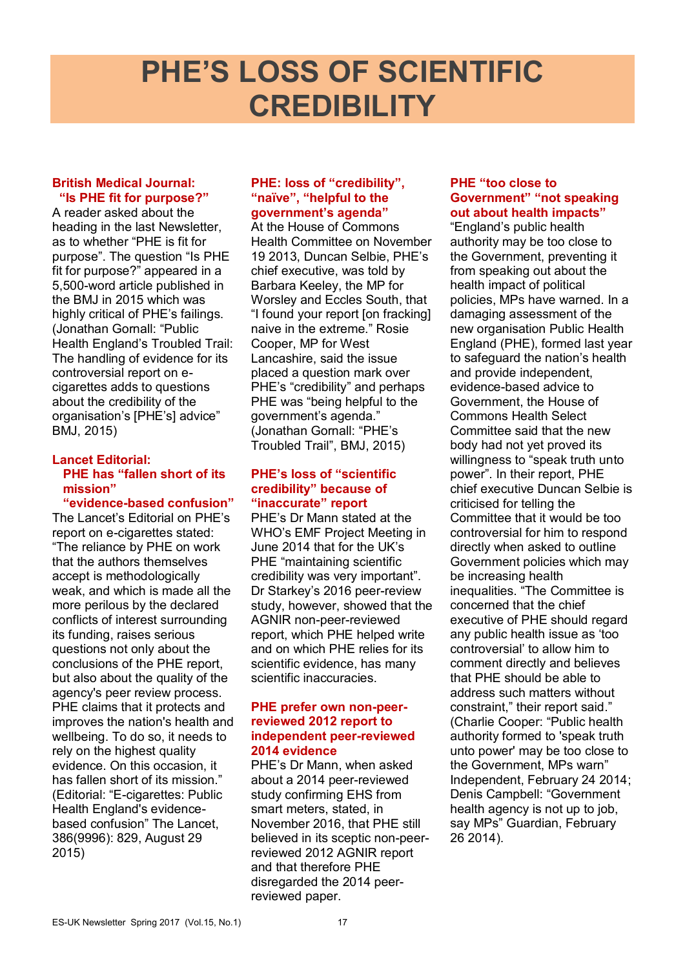# **PHE'S LOSS OF SCIENTIFIC CREDIBILITY**

#### **British Medical Journal: "Is PHE fit for purpose?"**

A reader asked about the heading in the last Newsletter, as to whether "PHE is fit for purpose". The question "Is PHE fit for purpose?" appeared in a 5,500-word article published in the BMJ in 2015 which was highly critical of PHE's failings. (Jonathan Gornall: "Public Health England's Troubled Trail: The handling of evidence for its controversial report on ecigarettes adds to questions about the credibility of the organisation's [PHE's] advice" BMJ, 2015)

## **Lancet Editorial: PHE has "fallen short of its mission"**

**"evidence-based confusion"** The Lancet's Editorial on PHE's report on e-cigarettes stated: "The reliance by PHE on work that the authors themselves accept is methodologically weak, and which is made all the more perilous by the declared conflicts of interest surrounding its funding, raises serious questions not only about the conclusions of the PHE report, but also about the quality of the agency's peer review process. PHE claims that it protects and improves the nation's health and wellbeing. To do so, it needs to rely on the highest quality evidence. On this occasion, it has fallen short of its mission." (Editorial: "E-cigarettes: Public Health England's evidencebased confusion" The Lancet, 386(9996): 829, August 29 2015)

### **PHE: loss of "credibility", "naïve", "helpful to the government's agenda"**

At the House of Commons Health Committee on November 19 2013, Duncan Selbie, PHE's chief executive, was told by Barbara Keeley, the MP for Worsley and Eccles South, that "I found your report [on fracking] naive in the extreme." Rosie Cooper, MP for West Lancashire, said the issue placed a question mark over PHE's "credibility" and perhaps PHE was "being helpful to the government's agenda." (Jonathan Gornall: "PHE's Troubled Trail", BMJ, 2015)

### **PHE's loss of "scientific credibility" because of "inaccurate" report**

PHE's Dr Mann stated at the WHO's EMF Project Meeting in June 2014 that for the UK's PHE "maintaining scientific credibility was very important". Dr Starkey's 2016 peer-review study, however, showed that the AGNIR non-peer-reviewed report, which PHE helped write and on which PHE relies for its scientific evidence, has many scientific inaccuracies.

### **PHE prefer own non-peerreviewed 2012 report to independent peer-reviewed 2014 evidence**

PHE's Dr Mann, when asked about a 2014 peer-reviewed study confirming EHS from smart meters, stated, in November 2016, that PHE still believed in its sceptic non-peerreviewed 2012 AGNIR report and that therefore PHE disregarded the 2014 peerreviewed paper.

## **PHE "too close to Government" "not speaking out about health impacts"**

"England's public health authority may be too close to the Government, preventing it from speaking out about the health impact of political policies, MPs have warned. In a damaging assessment of the new organisation Public Health England (PHE), formed last year to safeguard the nation's health and provide independent, evidence-based advice to Government, the House of Commons Health Select Committee said that the new body had not yet proved its willingness to "speak truth unto power". In their report, PHE chief executive Duncan Selbie is criticised for telling the Committee that it would be too controversial for him to respond directly when asked to outline Government policies which may be increasing health inequalities. "The Committee is concerned that the chief executive of PHE should regard any public health issue as 'too controversial' to allow him to comment directly and believes that PHE should be able to address such matters without constraint," their report said." (Charlie Cooper: "Public health authority formed to 'speak truth unto power' may be too close to the Government, MPs warn" Independent, February 24 2014; Denis Campbell: "Government health agency is not up to job, say MPs" Guardian, February 26 2014).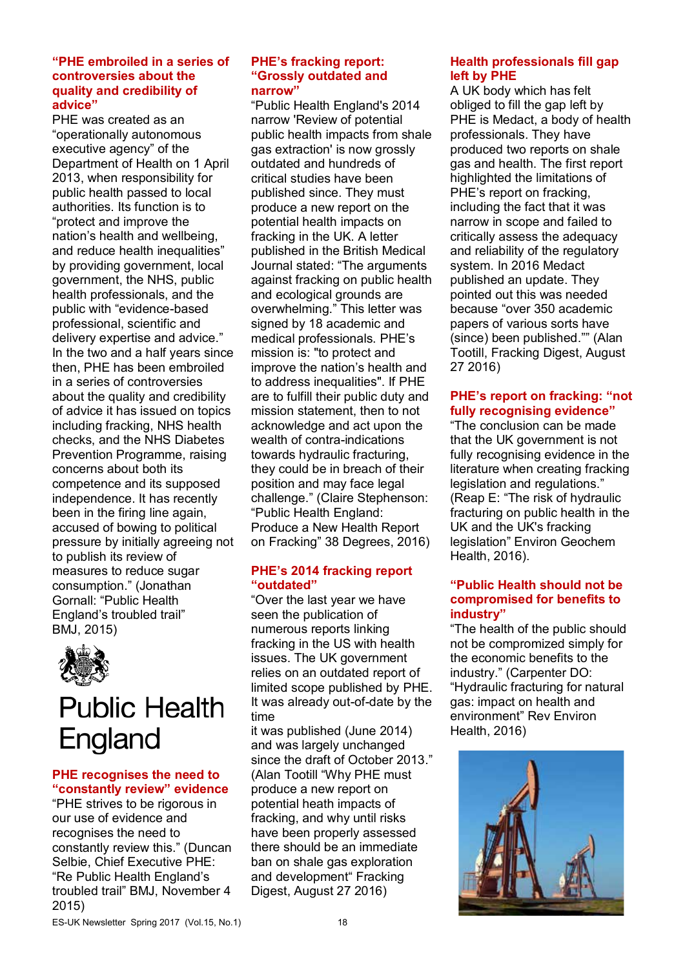#### **"PHE embroiled in a series of controversies about the quality and credibility of advice"**

PHE was created as an "operationally autonomous executive agency" of the Department of Health on 1 April 2013, when responsibility for public health passed to local authorities. Its function is to "protect and improve the nation's health and wellbeing, and reduce health inequalities" by providing government, local government, the NHS, public health professionals, and the public with "evidence-based professional, scientific and delivery expertise and advice." In the two and a half years since then, PHE has been embroiled in a series of controversies about the quality and credibility of advice it has issued on topics including fracking, NHS health checks, and the NHS Diabetes Prevention Programme, raising concerns about both its competence and its supposed independence. It has recently been in the firing line again, accused of bowing to political pressure by initially agreeing not to publish its review of measures to reduce sugar consumption." (Jonathan Gornall: "Public Health England's troubled trail" BMJ, 2015)



## **Public Health** England

## **PHE recognises the need to "constantly review" evidence**

"PHE strives to be rigorous in our use of evidence and recognises the need to constantly review this." (Duncan Selbie, Chief Executive PHE: "Re Public Health England's troubled trail" BMJ, November 4 2015)

#### **PHE's fracking report: "Grossly outdated and narrow"**

"Public Health England's 2014 narrow 'Review of potential public health impacts from shale gas extraction' is now grossly outdated and hundreds of critical studies have been published since. They must produce a new report on the potential health impacts on fracking in the UK. A letter published in the British Medical Journal stated: "The arguments against fracking on public health and ecological grounds are overwhelming." This letter was signed by 18 academic and medical professionals. PHE's mission is: "to protect and improve the nation's health and to address inequalities". If PHE are to fulfill their public duty and mission statement, then to not acknowledge and act upon the wealth of contra-indications towards hydraulic fracturing, they could be in breach of their position and may face legal challenge." (Claire Stephenson: "Public Health England: Produce a New Health Report on Fracking" 38 Degrees, 2016)

## **PHE's 2014 fracking report "outdated"**

"Over the last year we have seen the publication of numerous reports linking fracking in the US with health issues. The UK government relies on an outdated report of limited scope published by PHE. It was already out-of-date by the time

it was published (June 2014) and was largely unchanged since the draft of October 2013." (Alan Tootill "Why PHE must produce a new report on potential heath impacts of fracking, and why until risks have been properly assessed there should be an immediate ban on shale gas exploration and development" Fracking Digest, August 27 2016)

## **Health professionals fill gap left by PHE**

A UK body which has felt obliged to fill the gap left by PHE is Medact, a body of health professionals. They have produced two reports on shale gas and health. The first report highlighted the limitations of PHE's report on fracking, including the fact that it was narrow in scope and failed to critically assess the adequacy and reliability of the regulatory system. In 2016 Medact published an update. They pointed out this was needed because "over 350 academic papers of various sorts have (since) been published."" (Alan Tootill, Fracking Digest, August 27 2016)

## **PHE's report on fracking: "not fully recognising evidence"**

"The conclusion can be made that the UK government is not fully recognising evidence in the literature when creating fracking legislation and regulations." (Reap E: "The risk of hydraulic fracturing on public health in the UK and the UK's fracking legislation" Environ Geochem Health, 2016).

## **"Public Health should not be compromised for benefits to industry"**

"The health of the public should not be compromized simply for the economic benefits to the industry." (Carpenter DO: "Hydraulic fracturing for natural gas: impact on health and environment" Rev Environ Health, 2016)

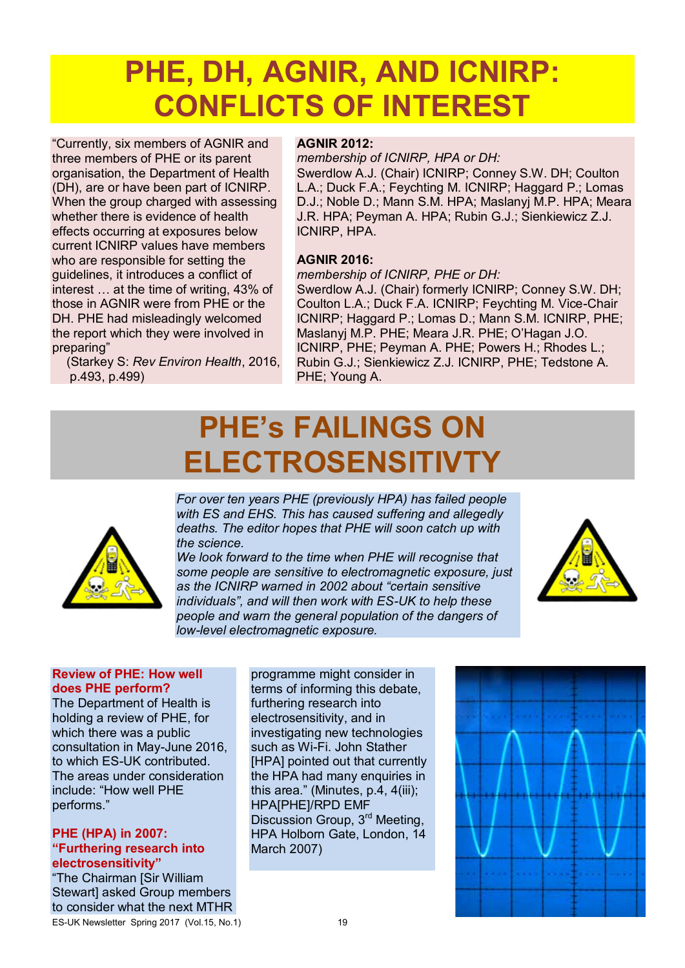# **PHE, DH, AGNIR, AND ICNIRP: CONFLICTS OF INTEREST**

"Currently, six members of AGNIR and three members of PHE or its parent organisation, the Department of Health (DH), are or have been part of ICNIRP. When the group charged with assessing whether there is evidence of health effects occurring at exposures below current ICNIRP values have members who are responsible for setting the guidelines, it introduces a conflict of interest … at the time of writing, 43% of those in AGNIR were from PHE or the DH. PHE had misleadingly welcomed the report which they were involved in preparing"

(Starkey S: *Rev Environ Health*, 2016, p.493, p.499)

## **AGNIR 2012:**

*membership of ICNIRP, HPA or DH:* 

Swerdlow A.J. (Chair) ICNIRP; Conney S.W. DH; Coulton L.A.; Duck F.A.; Feychting M. ICNIRP; Haggard P.; Lomas D.J.; Noble D.; Mann S.M. HPA; Maslanyj M.P. HPA; Meara J.R. HPA; Peyman A. HPA; Rubin G.J.; Sienkiewicz Z.J. ICNIRP, HPA.

#### **AGNIR 2016:**

#### *membership of ICNIRP, PHE or DH:*

Swerdlow A.J. (Chair) formerly ICNIRP; Conney S.W. DH; Coulton L.A.; Duck F.A. ICNIRP; Feychting M. Vice-Chair ICNIRP; Haggard P.; Lomas D.; Mann S.M. ICNIRP, PHE; Maslanyj M.P. PHE; Meara J.R. PHE; O'Hagan J.O. ICNIRP, PHE; Peyman A. PHE; Powers H.; Rhodes L.; Rubin G.J.; Sienkiewicz Z.J. ICNIRP, PHE; Tedstone A. PHE; Young A.

# **PHE's FAILINGS ON ELECTROSENSITIVTY**



*For over ten years PHE (previously HPA) has failed people with ES and EHS. This has caused suffering and allegedly deaths. The editor hopes that PHE will soon catch up with the science.* 

*We look forward to the time when PHE will recognise that some people are sensitive to electromagnetic exposure, just as the ICNIRP warned in 2002 about "certain sensitive individuals", and will then work with ES-UK to help these people and warn the general population of the dangers of low-level electromagnetic exposure.* 



### **Review of PHE: How well does PHE perform?**

The Department of Health is holding a review of PHE, for which there was a public consultation in May-June 2016, to which ES-UK contributed. The areas under consideration include: "How well PHE performs."

#### **PHE (HPA) in 2007: "Furthering research into electrosensitivity"**

ES-UK Newsletter Spring 2017 (Vol.15, No.1) 19 "The Chairman [Sir William Stewartl asked Group members to consider what the next MTHR

programme might consider in terms of informing this debate, furthering research into electrosensitivity, and in investigating new technologies such as Wi-Fi. John Stather [HPA] pointed out that currently the HPA had many enquiries in this area." (Minutes, p.4, 4(iii); HPA[PHE]/RPD EMF Discussion Group, 3<sup>rd</sup> Meeting, HPA Holborn Gate, London, 14 March 2007)

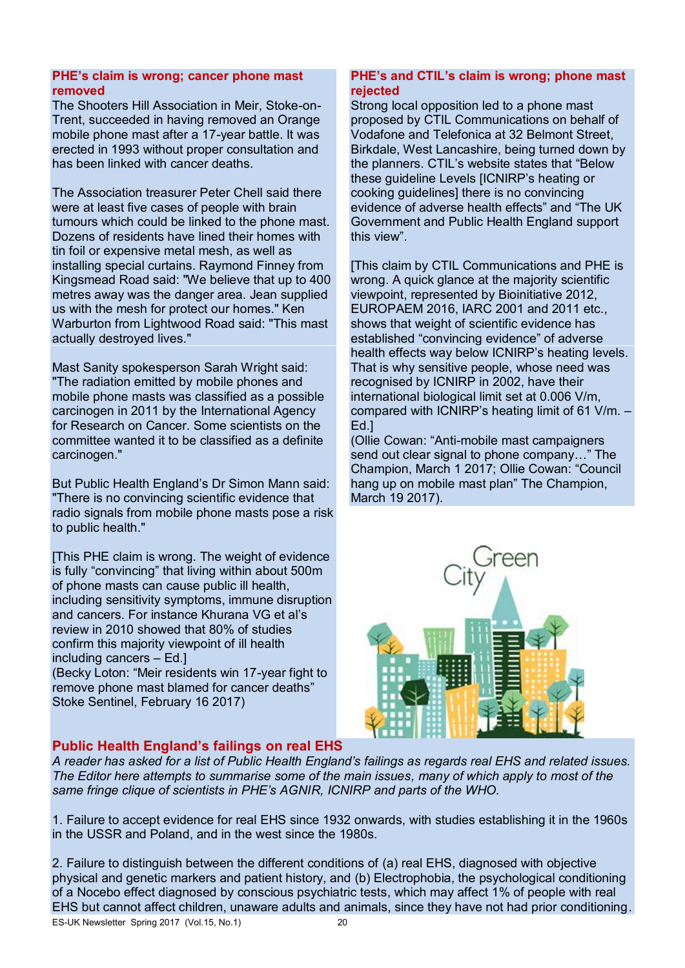### **PHE's claim is wrong; cancer phone mast removed**

The Shooters Hill Association in Meir, Stoke-on-Trent, succeeded in having removed an Orange mobile phone mast after a 17-year battle. It was erected in 1993 without proper consultation and has been linked with cancer deaths.

The Association treasurer Peter Chell said there were at least five cases of people with brain tumours which could be linked to the phone mast. Dozens of residents have lined their homes with tin foil or expensive metal mesh, as well as installing special curtains. Raymond Finney from Kingsmead Road said: "We believe that up to 400 metres away was the danger area. Jean supplied us with the mesh for protect our homes." Ken Warburton from Lightwood Road said: "This mast actually destroyed lives."

Mast Sanity spokesperson Sarah Wright said: "The radiation emitted by mobile phones and mobile phone masts was classified as a possible carcinogen in 2011 by the International Agency for Research on Cancer. Some scientists on the committee wanted it to be classified as a definite carcinogen."

But Public Health England's Dr Simon Mann said: "There is no convincing scientific evidence that radio signals from mobile phone masts pose a risk to public health."

[This PHE claim is wrong. The weight of evidence is fully "convincing" that living within about 500m of phone masts can cause public ill health, including sensitivity symptoms, immune disruption and cancers. For instance Khurana VG et al's review in 2010 showed that 80% of studies confirm this majority viewpoint of ill health including cancers – Ed.]

(Becky Loton: "Meir residents win 17-year fight to remove phone mast blamed for cancer deaths" Stoke Sentinel, February 16 2017)

## **PHE's and CTIL's claim is wrong; phone mast rejected**

Strong local opposition led to a phone mast proposed by CTIL Communications on behalf of Vodafone and Telefonica at 32 Belmont Street, Birkdale, West Lancashire, being turned down by the planners. CTIL's website states that "Below these guideline Levels [ICNIRP's heating or cooking guidelines] there is no convincing evidence of adverse health effects" and "The UK Government and Public Health England support this view".

[This claim by CTIL Communications and PHE is wrong. A quick glance at the majority scientific viewpoint, represented by Bioinitiative 2012, EUROPAEM 2016, IARC 2001 and 2011 etc., shows that weight of scientific evidence has established "convincing evidence" of adverse health effects way below ICNIRP's heating levels. That is why sensitive people, whose need was recognised by ICNIRP in 2002, have their international biological limit set at 0.006 V/m, compared with ICNIRP's heating limit of 61 V/m. – Ed.]

(Ollie Cowan: "Anti-mobile mast campaigners send out clear signal to phone company…" The Champion, March 1 2017; Ollie Cowan: "Council hang up on mobile mast plan" The Champion, March 19 2017).



## **Public Health England's failings on real EHS**

*A reader has asked for a list of Public Health England's failings as regards real EHS and related issues. The Editor here attempts to summarise some of the main issues, many of which apply to most of the same fringe clique of scientists in PHE's AGNIR, ICNIRP and parts of the WHO.* 

1. Failure to accept evidence for real EHS since 1932 onwards, with studies establishing it in the 1960s in the USSR and Poland, and in the west since the 1980s.

2. Failure to distinguish between the different conditions of (a) real EHS, diagnosed with objective physical and genetic markers and patient history, and (b) Electrophobia, the psychological conditioning of a Nocebo effect diagnosed by conscious psychiatric tests, which may affect 1% of people with real EHS but cannot affect children, unaware adults and animals, since they have not had prior conditioning.

ES-UK Newsletter Spring 2017 (Vol.15, No.1) 20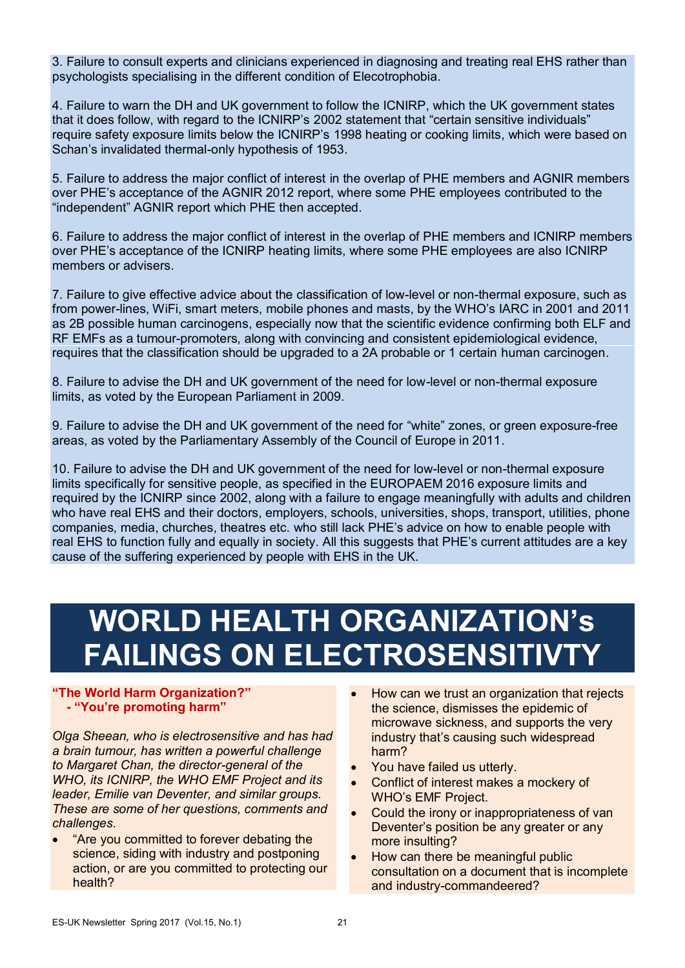3. Failure to consult experts and clinicians experienced in diagnosing and treating real EHS rather than psychologists specialising in the different condition of Elecotrophobia.

4. Failure to warn the DH and UK government to follow the ICNIRP, which the UK government states that it does follow, with regard to the ICNIRP's 2002 statement that "certain sensitive individuals" require safety exposure limits below the ICNIRP's 1998 heating or cooking limits, which were based on Schan's invalidated thermal-only hypothesis of 1953.

5. Failure to address the major conflict of interest in the overlap of PHE members and AGNIR members over PHE's acceptance of the AGNIR 2012 report, where some PHE employees contributed to the "independent" AGNIR report which PHE then accepted.

6. Failure to address the major conflict of interest in the overlap of PHE members and ICNIRP members over PHE's acceptance of the ICNIRP heating limits, where some PHE employees are also ICNIRP members or advisers.

7. Failure to give effective advice about the classification of low-level or non-thermal exposure, such as from power-lines, WiFi, smart meters, mobile phones and masts, by the WHO's IARC in 2001 and 2011 as 2B possible human carcinogens, especially now that the scientific evidence confirming both ELF and RF EMFs as a tumour-promoters, along with convincing and consistent epidemiological evidence, requires that the classification should be upgraded to a 2A probable or 1 certain human carcinogen.

8. Failure to advise the DH and UK government of the need for low-level or non-thermal exposure limits, as voted by the European Parliament in 2009.

9. Failure to advise the DH and UK government of the need for "white" zones, or green exposure-free areas, as voted by the Parliamentary Assembly of the Council of Europe in 2011.

10. Failure to advise the DH and UK government of the need for low-level or non-thermal exposure limits specifically for sensitive people, as specified in the EUROPAEM 2016 exposure limits and required by the ICNIRP since 2002, along with a failure to engage meaningfully with adults and children who have real EHS and their doctors, employers, schools, universities, shops, transport, utilities, phone companies, media, churches, theatres etc. who still lack PHE's advice on how to enable people with real EHS to function fully and equally in society. All this suggests that PHE's current attitudes are a key cause of the suffering experienced by people with EHS in the UK.

# **WORLD HEALTH ORGANIZATION's FAILINGS ON ELECTROSENSITIVTY**

## **"The World Harm Organization?" - "You're promoting harm"**

*Olga Sheean, who is electrosensitive and has had a brain tumour, has written a powerful challenge to Margaret Chan, the director-general of the WHO, its ICNIRP, the WHO EMF Project and its leader, Emilie van Deventer, and similar groups. These are some of her questions, comments and challenges.* 

- "Are you committed to forever debating the science, siding with industry and postponing action, or are you committed to protecting our health?
- How can we trust an organization that rejects the science, dismisses the epidemic of microwave sickness, and supports the very industry that's causing such widespread harm?
- You have failed us utterly.
- Conflict of interest makes a mockery of WHO's EMF Project.
- Could the irony or inappropriateness of van Deventer's position be any greater or any more insulting?
- How can there be meaningful public consultation on a document that is incomplete and industry-commandeered?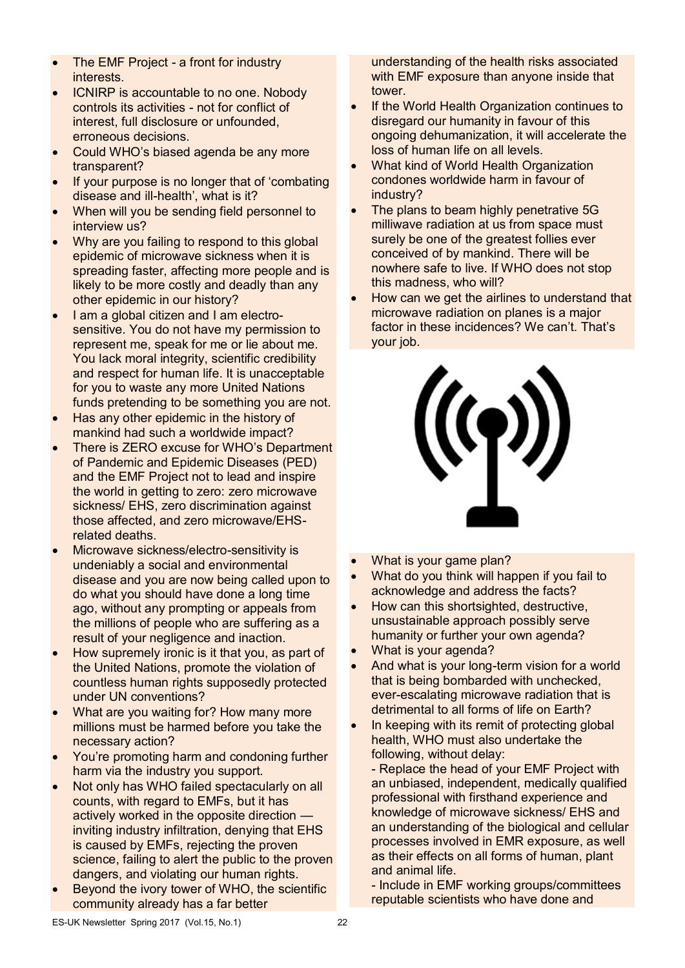- The EMF Project a front for industry interests.
- ICNIRP is accountable to no one. Nobody controls its activities - not for conflict of interest, full disclosure or unfounded, erroneous decisions.
- Could WHO's biased agenda be any more transparent?
- If your purpose is no longer that of 'combating disease and ill-health', what is it?
- When will you be sending field personnel to interview us?
- Why are you failing to respond to this global epidemic of microwave sickness when it is spreading faster, affecting more people and is likely to be more costly and deadly than any other epidemic in our history?
- I am a global citizen and I am electrosensitive. You do not have my permission to represent me, speak for me or lie about me. You lack moral integrity, scientific credibility and respect for human life. It is unacceptable for you to waste any more United Nations funds pretending to be something you are not.
- Has any other epidemic in the history of mankind had such a worldwide impact?
- There is ZERO excuse for WHO's Department of Pandemic and Epidemic Diseases (PED) and the EMF Project not to lead and inspire the world in getting to zero: zero microwave sickness/ EHS, zero discrimination against those affected, and zero microwave/EHSrelated deaths.
- Microwave sickness/electro-sensitivity is undeniably a social and environmental disease and you are now being called upon to do what you should have done a long time ago, without any prompting or appeals from the millions of people who are suffering as a result of your negligence and inaction.
- How supremely ironic is it that you, as part of the United Nations, promote the violation of countless human rights supposedly protected under UN conventions?
- What are you waiting for? How many more millions must be harmed before you take the necessary action?
- You're promoting harm and condoning further harm via the industry you support.
- Not only has WHO failed spectacularly on all counts, with regard to EMFs, but it has actively worked in the opposite direction inviting industry infiltration, denying that EHS is caused by EMFs, rejecting the proven science, failing to alert the public to the proven dangers, and violating our human rights.
- Beyond the ivory tower of WHO, the scientific community already has a far better

understanding of the health risks associated with EMF exposure than anyone inside that tower.

- If the World Health Organization continues to disregard our humanity in favour of this ongoing dehumanization, it will accelerate the loss of human life on all levels.
- What kind of World Health Organization condones worldwide harm in favour of industry?
- The plans to beam highly penetrative 5G milliwave radiation at us from space must surely be one of the greatest follies ever conceived of by mankind. There will be nowhere safe to live. If WHO does not stop this madness, who will?
- How can we get the airlines to understand that microwave radiation on planes is a major factor in these incidences? We can't. That's your job.



- What is your game plan?
- What do you think will happen if you fail to acknowledge and address the facts?
- How can this shortsighted, destructive, unsustainable approach possibly serve humanity or further your own agenda?
- What is your agenda?
- And what is your long-term vision for a world that is being bombarded with unchecked, ever-escalating microwave radiation that is detrimental to all forms of life on Earth?
- In keeping with its remit of protecting global health, WHO must also undertake the following, without delay:

- Replace the head of your EMF Project with an unbiased, independent, medically qualified professional with firsthand experience and knowledge of microwave sickness/ EHS and an understanding of the biological and cellular processes involved in EMR exposure, as well as their effects on all forms of human, plant and animal life.

- Include in EMF working groups/committees reputable scientists who have done and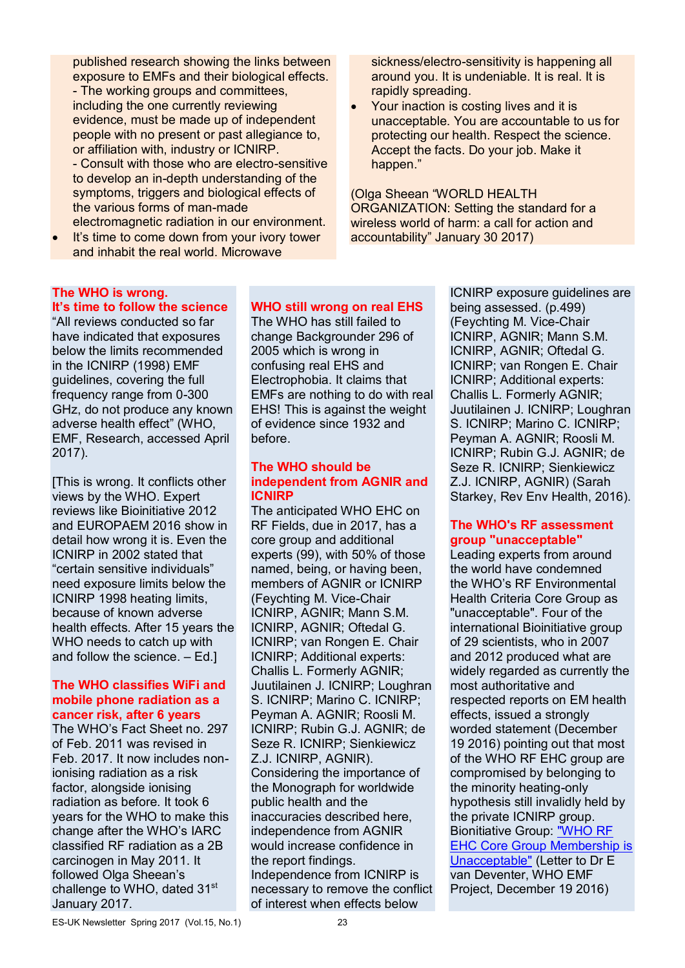published research showing the links between exposure to EMFs and their biological effects. - The working groups and committees, including the one currently reviewing evidence, must be made up of independent people with no present or past allegiance to, or affiliation with, industry or ICNIRP. - Consult with those who are electro-sensitive to develop an in-depth understanding of the symptoms, triggers and biological effects of the various forms of man-made electromagnetic radiation in our environment.

It's time to come down from your ivory tower and inhabit the real world. Microwave

sickness/electro-sensitivity is happening all around you. It is undeniable. It is real. It is rapidly spreading.

 Your inaction is costing lives and it is unacceptable. You are accountable to us for protecting our health. Respect the science. Accept the facts. Do your job. Make it happen."

(Olga Sheean "WORLD HEALTH ORGANIZATION: Setting the standard for a wireless world of harm: a call for action and accountability" January 30 2017)

## **The WHO is wrong.**

**It's time to follow the science**  "All reviews conducted so far have indicated that exposures below the limits recommended in the ICNIRP (1998) EMF guidelines, covering the full frequency range from 0-300 GHz, do not produce any known adverse health effect" (WHO, EMF, Research, accessed April 2017).

[This is wrong. It conflicts other views by the WHO. Expert reviews like Bioinitiative 2012 and EUROPAEM 2016 show in detail how wrong it is. Even the ICNIRP in 2002 stated that "certain sensitive individuals" need exposure limits below the ICNIRP 1998 heating limits, because of known adverse health effects. After 15 years the WHO needs to catch up with and follow the science. – Ed.]

## **The WHO classifies WiFi and mobile phone radiation as a cancer risk, after 6 years**

The WHO's Fact Sheet no. 297 of Feb. 2011 was revised in Feb. 2017. It now includes nonionising radiation as a risk factor, alongside ionising radiation as before. It took 6 years for the WHO to make this change after the WHO's IARC classified RF radiation as a 2B carcinogen in May 2011. It followed Olga Sheean's challenge to WHO, dated 31<sup>st</sup> January 2017.

## **WHO still wrong on real EHS**

The WHO has still failed to change Backgrounder 296 of 2005 which is wrong in confusing real EHS and Electrophobia. It claims that EMFs are nothing to do with real EHS! This is against the weight of evidence since 1932 and before.

#### **The WHO should be independent from AGNIR and ICNIRP**

The anticipated WHO EHC on RF Fields, due in 2017, has a core group and additional experts (99), with 50% of those named, being, or having been, members of AGNIR or ICNIRP (Feychting M. Vice-Chair ICNIRP, AGNIR; Mann S.M. ICNIRP, AGNIR; Oftedal G. ICNIRP; van Rongen E. Chair ICNIRP; Additional experts: Challis L. Formerly AGNIR; Juutilainen J. ICNIRP; Loughran S. ICNIRP; Marino C. ICNIRP; Peyman A. AGNIR; Roosli M. ICNIRP; Rubin G.J. AGNIR; de Seze R. ICNIRP; Sienkiewicz Z.J. ICNIRP, AGNIR). Considering the importance of the Monograph for worldwide public health and the inaccuracies described here, independence from AGNIR would increase confidence in the report findings. Independence from ICNIRP is necessary to remove the conflict of interest when effects below

ICNIRP exposure guidelines are being assessed. (p.499) (Feychting M. Vice-Chair ICNIRP, AGNIR; Mann S.M. ICNIRP, AGNIR; Oftedal G. ICNIRP; van Rongen E. Chair ICNIRP; Additional experts: Challis L. Formerly AGNIR; Juutilainen J. ICNIRP; Loughran S. ICNIRP; Marino C. ICNIRP; Peyman A. AGNIR; Roosli M. ICNIRP; Rubin G.J. AGNIR; de Seze R. ICNIRP; Sienkiewicz Z.J. ICNIRP, AGNIR) (Sarah Starkey, Rev Env Health, 2016).

### **The WHO's RF assessment group "unacceptable"**

Leading experts from around the world have condemned the WHO's RF Environmental Health Criteria Core Group as "unacceptable". Four of the international Bioinitiative group of 29 scientists, who in 2007 and 2012 produced what are widely regarded as currently the most authoritative and respected reports on EM health effects, issued a strongly worded statement (December 19 2016) pointing out that most of the WHO RF EHC group are compromised by belonging to the minority heating-only hypothesis still invalidly held by the private ICNIRP group. Bionitiative Group: "WHO RF EHC Core Group Membership is Unacceptable" (Letter to Dr E van Deventer, WHO EMF Project, December 19 2016)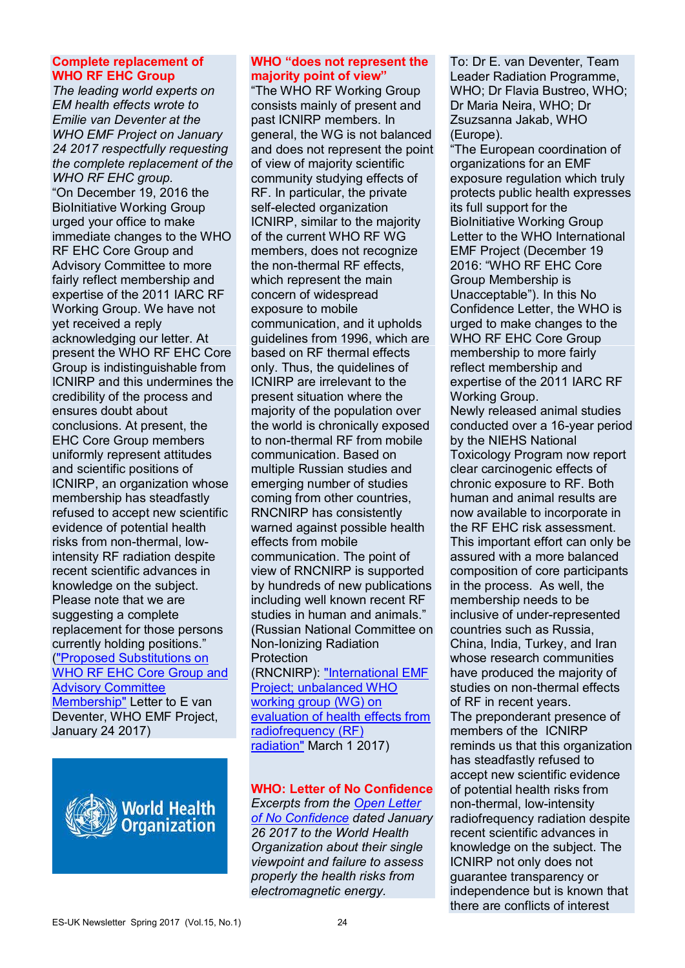#### **Complete replacement of WHO RF EHC Group**

*The leading world experts on EM health effects wrote to Emilie van Deventer at the WHO EMF Project on January 24 2017 respectfully requesting the complete replacement of the WHO RF EHC group.*  "On December 19, 2016 the BioInitiative Working Group urged your office to make immediate changes to the WHO RF EHC Core Group and Advisory Committee to more fairly reflect membership and expertise of the 2011 IARC RF Working Group. We have not yet received a reply acknowledging our letter. At present the WHO RF EHC Core Group is indistinguishable from ICNIRP and this undermines the credibility of the process and ensures doubt about conclusions. At present, the EHC Core Group members uniformly represent attitudes and scientific positions of ICNIRP, an organization whose membership has steadfastly refused to accept new scientific evidence of potential health risks from non-thermal, lowintensity RF radiation despite recent scientific advances in knowledge on the subject. Please note that we are suggesting a complete replacement for those persons currently holding positions." ("Proposed Substitutions on WHO RF EHC Core Group and Advisory Committee Membership" Letter to E van Deventer, WHO EMF Project, January 24 2017)



#### **WHO "does not represent the majority point of view"**

"The WHO RF Working Group consists mainly of present and past ICNIRP members. In general, the WG is not balanced and does not represent the point of view of majority scientific community studying effects of RF. In particular, the private self-elected organization ICNIRP, similar to the majority of the current WHO RF WG members, does not recognize the non-thermal RF effects, which represent the main concern of widespread exposure to mobile communication, and it upholds guidelines from 1996, which are based on RF thermal effects only. Thus, the quidelines of ICNIRP are irrelevant to the present situation where the majority of the population over the world is chronically exposed to non-thermal RF from mobile communication. Based on multiple Russian studies and emerging number of studies coming from other countries, RNCNIRP has consistently warned against possible health effects from mobile communication. The point of view of RNCNIRP is supported by hundreds of new publications including well known recent RF studies in human and animals." (Russian National Committee on Non-Ionizing Radiation Protection (RNCNIRP): "International EMF Project; unbalanced WHO working group (WG) on

evaluation of health effects from radiofrequency (RF) radiation" March 1 2017)

**WHO: Letter of No Confidence**  *Excerpts from the Open Letter of No Confidence dated January 26 2017 to the World Health Organization about their single viewpoint and failure to assess properly the health risks from electromagnetic energy.* 

To: Dr E. van Deventer, Team Leader Radiation Programme, WHO; Dr Flavia Bustreo, WHO; Dr Maria Neira, WHO; Dr Zsuzsanna Jakab, WHO (Europe).

"The European coordination of organizations for an EMF exposure regulation which truly protects public health expresses its full support for the BioInitiative Working Group Letter to the WHO International EMF Project (December 19 2016: "WHO RF EHC Core Group Membership is Unacceptable"). In this No Confidence Letter, the WHO is urged to make changes to the WHO RF EHC Core Group membership to more fairly reflect membership and expertise of the 2011 IARC RF Working Group. Newly released animal studies conducted over a 16-year period by the NIEHS National Toxicology Program now report clear carcinogenic effects of chronic exposure to RF. Both human and animal results are now available to incorporate in the RF EHC risk assessment. This important effort can only be assured with a more balanced composition of core participants in the process. As well, the membership needs to be inclusive of under-represented countries such as Russia, China, India, Turkey, and Iran whose research communities have produced the majority of studies on non-thermal effects of RF in recent years. The preponderant presence of members of the ICNIRP reminds us that this organization has steadfastly refused to accept new scientific evidence of potential health risks from non-thermal, low-intensity radiofrequency radiation despite recent scientific advances in knowledge on the subject. The ICNIRP not only does not guarantee transparency or independence but is known that there are conflicts of interest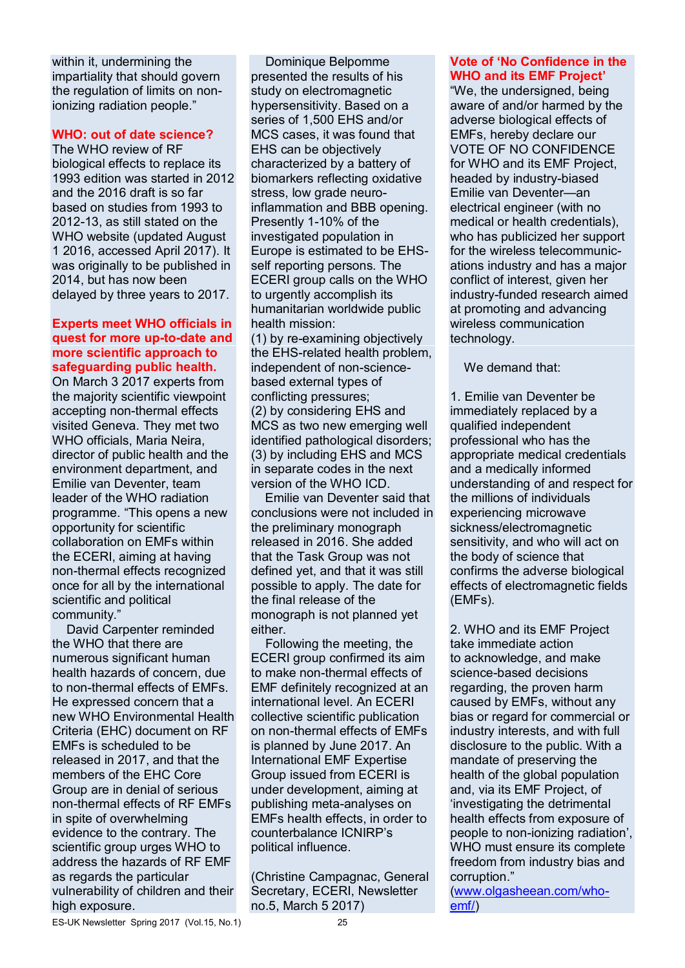within it, undermining the impartiality that should govern the regulation of limits on nonionizing radiation people."

#### **WHO: out of date science?**

The WHO review of RF biological effects to replace its 1993 edition was started in 2012 and the 2016 draft is so far based on studies from 1993 to 2012-13, as still stated on the WHO website (updated August 1 2016, accessed April 2017). It was originally to be published in 2014, but has now been delayed by three years to 2017.

#### **Experts meet WHO officials in quest for more up-to-date and more scientific approach to safeguarding public health.**

On March 3 2017 experts from the majority scientific viewpoint accepting non-thermal effects visited Geneva. They met two WHO officials, Maria Neira, director of public health and the environment department, and Emilie van Deventer, team leader of the WHO radiation programme. "This opens a new opportunity for scientific collaboration on EMFs within the ECERI, aiming at having non-thermal effects recognized once for all by the international scientific and political community."

David Carpenter reminded the WHO that there are numerous significant human health hazards of concern, due to non-thermal effects of EMFs. He expressed concern that a new WHO Environmental Health Criteria (EHC) document on RF EMFs is scheduled to be released in 2017, and that the members of the EHC Core Group are in denial of serious non-thermal effects of RF EMFs in spite of overwhelming evidence to the contrary. The scientific group urges WHO to address the hazards of RF EMF as regards the particular vulnerability of children and their high exposure.

Dominique Belpomme presented the results of his study on electromagnetic hypersensitivity. Based on a series of 1,500 EHS and/or MCS cases, it was found that EHS can be objectively characterized by a battery of biomarkers reflecting oxidative stress, low grade neuroinflammation and BBB opening. Presently 1-10% of the investigated population in Europe is estimated to be EHSself reporting persons. The ECERI group calls on the WHO to urgently accomplish its humanitarian worldwide public health mission:

(1) by re-examining objectively the EHS-related health problem, independent of non-sciencebased external types of conflicting pressures; (2) by considering EHS and MCS as two new emerging well identified pathological disorders; (3) by including EHS and MCS in separate codes in the next version of the WHO ICD.

Emilie van Deventer said that conclusions were not included in the preliminary monograph released in 2016. She added that the Task Group was not defined yet, and that it was still possible to apply. The date for the final release of the monograph is not planned yet either.

Following the meeting, the ECERI group confirmed its aim to make non-thermal effects of EMF definitely recognized at an international level. An ECERI collective scientific publication on non-thermal effects of EMFs is planned by June 2017. An International EMF Expertise Group issued from ECERI is under development, aiming at publishing meta-analyses on EMFs health effects, in order to counterbalance ICNIRP's political influence.

(Christine Campagnac, General Secretary, ECERI, Newsletter no.5, March 5 2017)

## **Vote of 'No Confidence in the WHO and its EMF Project'**

"We, the undersigned, being aware of and/or harmed by the adverse biological effects of EMFs, hereby declare our VOTE OF NO CONFIDENCE for WHO and its EMF Project, headed by industry-biased Emilie van Deventer—an electrical engineer (with no medical or health credentials), who has publicized her support for the wireless telecommunications industry and has a major conflict of interest, given her industry-funded research aimed at promoting and advancing wireless communication technology.

We demand that:

1. Emilie van Deventer be immediately replaced by a qualified independent professional who has the appropriate medical credentials and a medically informed understanding of and respect for the millions of individuals experiencing microwave sickness/electromagnetic sensitivity, and who will act on the body of science that confirms the adverse biological effects of electromagnetic fields (EMFs).

2. WHO and its EMF Project take immediate action to acknowledge, and make science-based decisions regarding, the proven harm caused by EMFs, without any bias or regard for commercial or industry interests, and with full disclosure to the public. With a mandate of preserving the health of the global population and, via its EMF Project, of 'investigating the detrimental health effects from exposure of people to non-ionizing radiation', WHO must ensure its complete freedom from industry bias and corruption."

(www.olgasheean.com/whoemf/)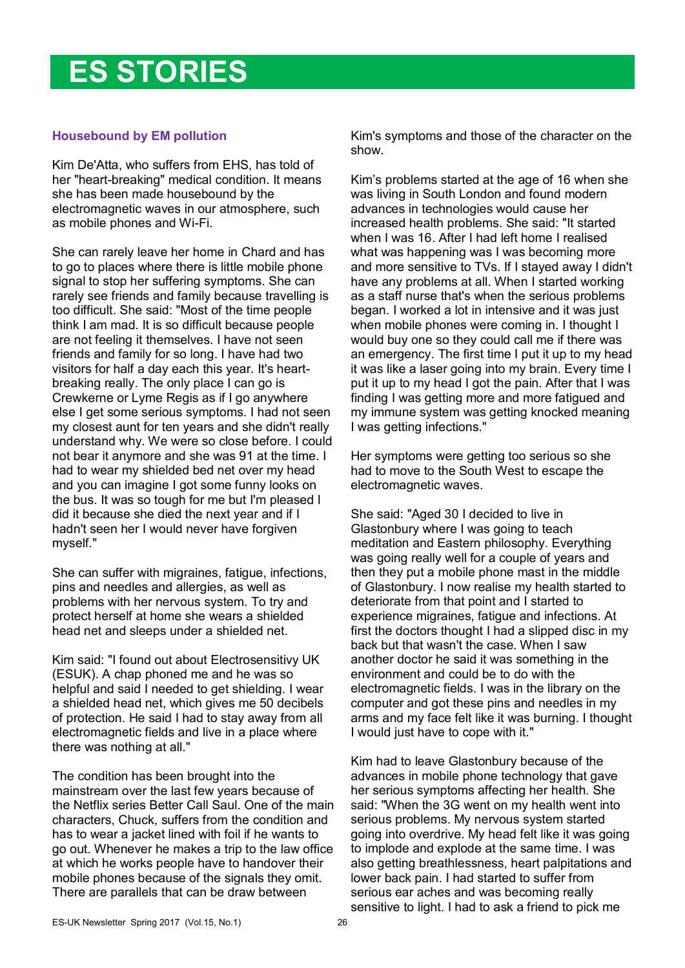## **ES STORIES**

## **Housebound by EM pollution**

Kim De'Atta, who suffers from EHS, has told of her "heart-breaking" medical condition. It means she has been made housebound by the electromagnetic waves in our atmosphere, such as mobile phones and Wi-Fi.

She can rarely leave her home in Chard and has to go to places where there is little mobile phone signal to stop her suffering symptoms. She can rarely see friends and family because travelling is too difficult. She said: "Most of the time people think I am mad. It is so difficult because people are not feeling it themselves. I have not seen friends and family for so long. I have had two visitors for half a day each this year. It's heartbreaking really. The only place I can go is Crewkerne or Lyme Regis as if I go anywhere else I get some serious symptoms. I had not seen my closest aunt for ten years and she didn't really understand why. We were so close before. I could not bear it anymore and she was 91 at the time. I had to wear my shielded bed net over my head and you can imagine I got some funny looks on the bus. It was so tough for me but I'm pleased I did it because she died the next year and if I hadn't seen her I would never have forgiven myself."

She can suffer with migraines, fatigue, infections, pins and needles and allergies, as well as problems with her nervous system. To try and protect herself at home she wears a shielded head net and sleeps under a shielded net.

Kim said: "I found out about Electrosensitivy UK (ESUK). A chap phoned me and he was so helpful and said I needed to get shielding. I wear a shielded head net, which gives me 50 decibels of protection. He said I had to stay away from all electromagnetic fields and live in a place where there was nothing at all."

The condition has been brought into the mainstream over the last few years because of the Netflix series Better Call Saul. One of the main characters, Chuck, suffers from the condition and has to wear a jacket lined with foil if he wants to go out. Whenever he makes a trip to the law office at which he works people have to handover their mobile phones because of the signals they omit. There are parallels that can be draw between

Kim's symptoms and those of the character on the show.

Kim's problems started at the age of 16 when she was living in South London and found modern advances in technologies would cause her increased health problems. She said: "It started when I was 16. After I had left home I realised what was happening was I was becoming more and more sensitive to TVs. If I stayed away I didn't have any problems at all. When I started working as a staff nurse that's when the serious problems began. I worked a lot in intensive and it was just when mobile phones were coming in. I thought I would buy one so they could call me if there was an emergency. The first time I put it up to my head it was like a laser going into my brain. Every time I put it up to my head I got the pain. After that I was finding I was getting more and more fatigued and my immune system was getting knocked meaning I was getting infections."

Her symptoms were getting too serious so she had to move to the South West to escape the electromagnetic waves.

She said: "Aged 30 I decided to live in Glastonbury where I was going to teach meditation and Eastern philosophy. Everything was going really well for a couple of years and then they put a mobile phone mast in the middle of Glastonbury. I now realise my health started to deteriorate from that point and I started to experience migraines, fatigue and infections. At first the doctors thought I had a slipped disc in my back but that wasn't the case. When I saw another doctor he said it was something in the environment and could be to do with the electromagnetic fields. I was in the library on the computer and got these pins and needles in my arms and my face felt like it was burning. I thought I would just have to cope with it."

Kim had to leave Glastonbury because of the advances in mobile phone technology that gave her serious symptoms affecting her health. She said: "When the 3G went on my health went into serious problems. My nervous system started going into overdrive. My head felt like it was going to implode and explode at the same time. I was also getting breathlessness, heart palpitations and lower back pain. I had started to suffer from serious ear aches and was becoming really sensitive to light. I had to ask a friend to pick me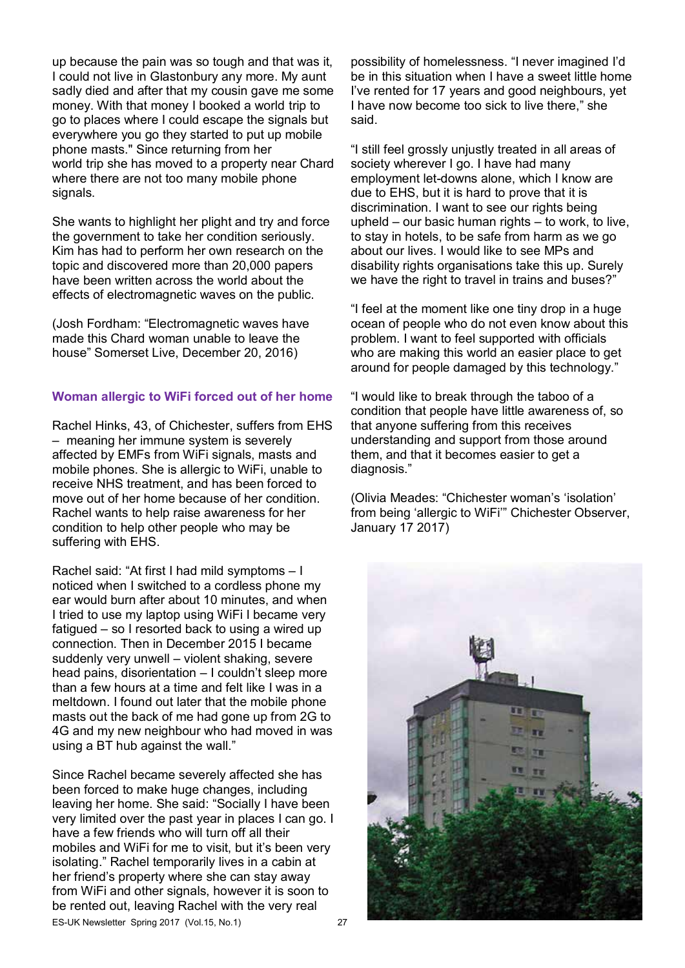up because the pain was so tough and that was it, I could not live in Glastonbury any more. My aunt sadly died and after that my cousin gave me some money. With that money I booked a world trip to go to places where I could escape the signals but everywhere you go they started to put up mobile phone masts." Since returning from her world trip she has moved to a property near Chard where there are not too many mobile phone signals.

She wants to highlight her plight and try and force the government to take her condition seriously. Kim has had to perform her own research on the topic and discovered more than 20,000 papers have been written across the world about the effects of electromagnetic waves on the public.

(Josh Fordham: "Electromagnetic waves have made this Chard woman unable to leave the house" Somerset Live, December 20, 2016)

### **Woman allergic to WiFi forced out of her home**

Rachel Hinks, 43, of Chichester, suffers from EHS – meaning her immune system is severely affected by EMFs from WiFi signals, masts and mobile phones. She is allergic to WiFi, unable to receive NHS treatment, and has been forced to move out of her home because of her condition. Rachel wants to help raise awareness for her condition to help other people who may be suffering with EHS.

Rachel said: "At first I had mild symptoms – I noticed when I switched to a cordless phone my ear would burn after about 10 minutes, and when I tried to use my laptop using WiFi I became very fatigued – so I resorted back to using a wired up connection. Then in December 2015 I became suddenly very unwell – violent shaking, severe head pains, disorientation – I couldn't sleep more than a few hours at a time and felt like I was in a meltdown. I found out later that the mobile phone masts out the back of me had gone up from 2G to 4G and my new neighbour who had moved in was using a BT hub against the wall."

Since Rachel became severely affected she has been forced to make huge changes, including leaving her home. She said: "Socially I have been very limited over the past year in places I can go. I have a few friends who will turn off all their mobiles and WiFi for me to visit, but it's been very isolating." Rachel temporarily lives in a cabin at her friend's property where she can stay away from WiFi and other signals, however it is soon to be rented out, leaving Rachel with the very real

possibility of homelessness. "I never imagined I'd be in this situation when I have a sweet little home I've rented for 17 years and good neighbours, yet I have now become too sick to live there," she said.

"I still feel grossly unjustly treated in all areas of society wherever I go. I have had many employment let-downs alone, which I know are due to EHS, but it is hard to prove that it is discrimination. I want to see our rights being upheld – our basic human rights – to work, to live, to stay in hotels, to be safe from harm as we go about our lives. I would like to see MPs and disability rights organisations take this up. Surely we have the right to travel in trains and buses?"

"I feel at the moment like one tiny drop in a huge ocean of people who do not even know about this problem. I want to feel supported with officials who are making this world an easier place to get around for people damaged by this technology."

"I would like to break through the taboo of a condition that people have little awareness of, so that anyone suffering from this receives understanding and support from those around them, and that it becomes easier to get a diagnosis."

(Olivia Meades: "Chichester woman's 'isolation' from being 'allergic to WiFi'" Chichester Observer, January 17 2017)



ES-UK Newsletter Spring 2017 (Vol.15, No.1)